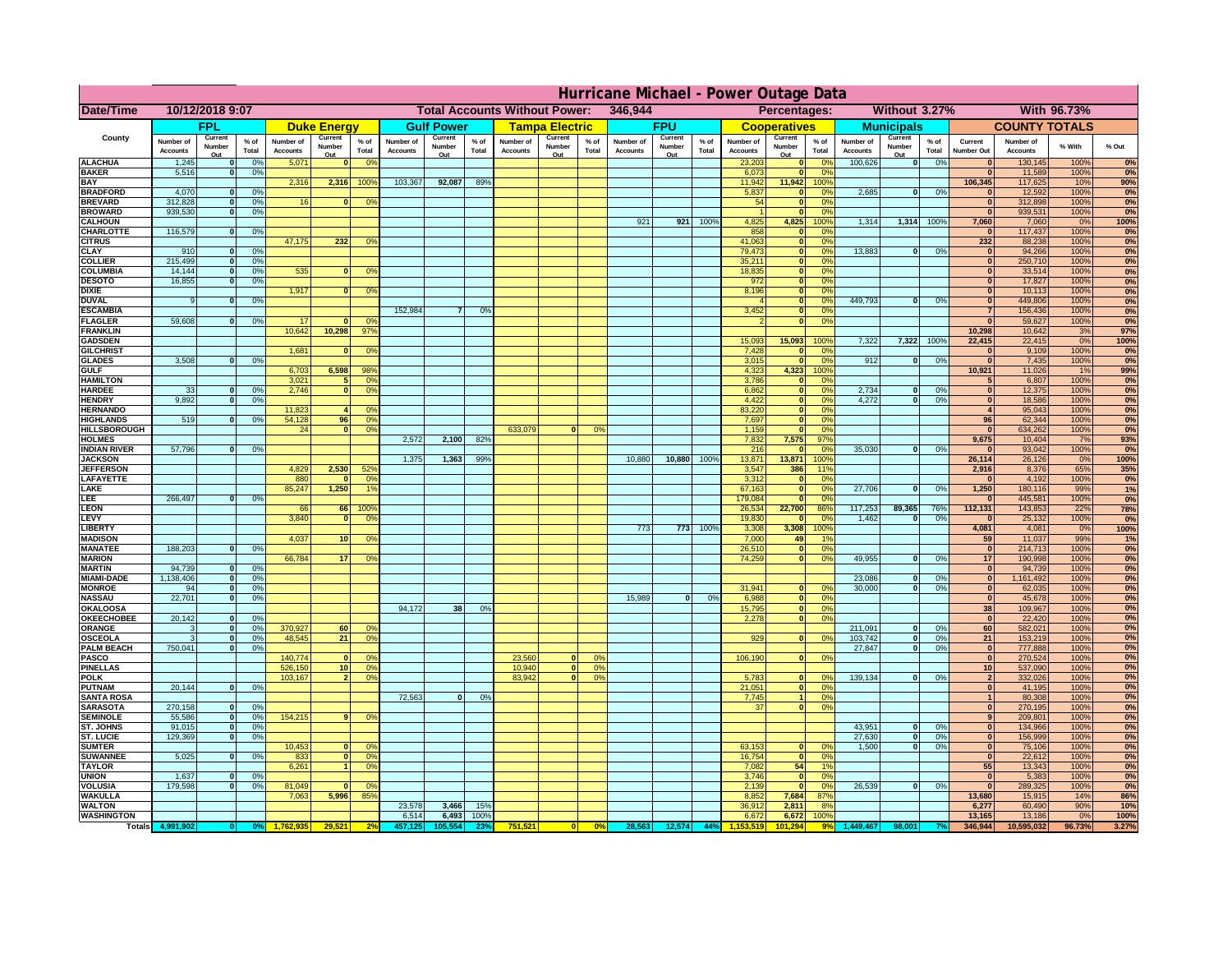| 346,944<br><b>Without 3.27%</b><br><b>With 96.73%</b><br><b>Date/Time</b><br>10/12/2018 9:07<br><b>Total Accounts Without Power:</b><br>Percentages:<br><b>FPL</b><br><b>Gulf Power</b><br><b>Tampa Electric</b><br><b>FPU</b><br><b>Municipals</b><br><b>COUNTY TOTALS</b><br><b>Duke Energy</b><br><b>Cooperatives</b><br>County<br>Current<br>Current<br>Current<br>Current<br>Current<br>Current<br>Current<br>$%$ of<br>$%$ of<br>$%$ of<br>% of<br>Number of<br>Number of<br>$%$ of<br>Number of<br>Number of<br>$%$ of<br>Number of<br>Number of<br>$%$ of<br>Current<br>Number of<br>Number of<br>% With<br>% Out<br>Number<br>Number<br>Number<br>Number<br>Number<br>Number<br>Number<br>Total<br>Total<br>Total<br>Total<br>Total<br><b>Accounts</b><br>Total<br><b>Accounts</b><br><b>Accounts</b><br>Accounts<br>Total<br><b>Accounts</b><br><b>Accounts</b><br><b>Number Out</b><br><b>Accounts</b><br><b>Accounts</b><br>Out<br>Out<br>Out<br>Out<br>Out<br>Out<br>Out<br><b>ALACHUA</b><br>1,245<br>0 <sup>9</sup><br>5,071<br>0 <sup>9</sup><br>23,203<br>100,626<br> 0 <br>0%<br>130,145<br>100%<br>$\mathbf{0}$<br>$\mathbf{0}$<br>0 <sup>9</sup><br>$\bf{0}$<br><b>BAKER</b><br>5,516<br>0%<br>6,073<br>ō<br>0%<br>11,589<br>100%<br>$\mathbf{0}$<br>0%<br><b>BAY</b><br>2,316<br>2,316<br>100%<br>103,367<br>92,087<br>89%<br>11,942<br>11,942<br>100%<br>106,345<br>117,625<br>10%<br>90%<br><b>BRADFORD</b><br>4,070<br>0 <sup>9</sup><br>5,837<br>2,685<br>0%<br>12,592<br>100%<br>$\mathbf{0}$<br>0%<br> 0 <br>$\bf{0}$<br>0%<br><b>BREVARD</b><br>312,828<br>0 <sup>9</sup><br>16<br>0 <sup>9</sup><br>54<br>$\mathbf{0}$<br>0%<br>$\mathbf{0}$<br>312,898<br>100%<br>$\mathbf{0}$<br><b>BROWARD</b><br>939.530<br>0 <sup>9</sup><br>$\mathbf{0}$<br>0%<br>$\bf{0}$<br>939,531<br>100%<br>4,825<br>1,314<br><b>CALHOUN</b><br>921<br>921<br>100%<br>4,825<br>100%<br>1,314 100%<br>7,060<br>7,060<br>0%<br>100%<br>116,579<br>858<br>100%<br>CHARLOTTE<br>0 <sup>9</sup><br>0%<br>117,437<br>0%<br>$\mathbf 0$<br>232<br>47,175<br>41,063<br>232<br>88,238<br>100%<br><b>CITRUS</b><br>0 <sup>9</sup><br>$\mathbf{0}$<br>0 <sup>9</sup><br>79,473<br><b>CLAY</b><br>$\bullet$<br>13,883<br>94,266<br>100%<br>910<br>0 <sup>9</sup><br>0 <sup>9</sup><br>$\mathbf{0}$<br>0%<br>$\mathbf{0}$<br>215,499<br>35,211<br><b>COLLIER</b><br>0%<br>250,710<br>100%<br>0 <sup>9</sup><br>$\mathbf{0}$<br>$\bf{0}$<br>0%<br>535<br><b>COLUMBIA</b><br>14,144<br>18,835<br>ō<br>0%<br>33,514<br>100%<br>0%<br>0 <sup>9</sup><br>0 <sup>9</sup><br>$\bf{0}$<br>$\bf{0}$<br>16,855<br>972<br>17,827<br><b>DESOTO</b><br>0 <sup>9</sup><br>ō<br>0%<br>100%<br>$\bf{0}$<br>1,917<br>8,196<br>10,113<br>100%<br><b>DIXIE</b><br>$\mathbf{0}$<br>nº<br>0%<br>$\bf{0}$<br>0°<br>$\bf{0}$<br>449.793<br>449,806<br><b>DUVAL</b><br>100%<br>0%<br>$\mathbf{0}$<br>0%<br>ol<br>0%<br>0%<br>$\Omega$<br>152,984<br>3,452<br><b>ESCAMBIA</b><br>0%<br>156,436<br>100%<br>0%<br>$\overline{7}$<br>0 <sup>9</sup><br>$\mathbf{0}$<br>$\overline{7}$<br>59,608<br>0%<br>59,627<br><b>FLAGLER</b><br>$\bullet$<br>$\overline{0}$<br>100%<br>0%<br>0%<br>17<br>0 <sup>9</sup><br>n<br>10,642<br>10,298<br>$97^{\circ}$<br>10,298<br>10,642<br><b>FRANKLIN</b><br>3%<br>97%<br>15,093<br>15,093<br>7,322<br>7,322<br>22,415<br>22,415<br>0%<br>100%<br><b>GADSDEN</b><br>100%<br>100%<br>1,681<br>7,428<br>9,109<br>100%<br><b>GILCHRIST</b><br>0 <sup>9</sup><br>0%<br> 0 <br>0%<br>$\mathbf{0}$<br>$\bf{0}$<br>3,508<br>0 <sup>9</sup><br>3,015<br>$\bullet$<br>0%<br>912<br>0%<br> 0 <br>7,435<br>100%<br><b>GLADES</b><br> 0 <br>0%<br><b>GULF</b><br>6,703<br>6,598<br>98%<br>4,323<br>4,323<br>100%<br>10,921<br>11,026<br>1%<br>99%<br><b>HAMILTON</b><br>3,021<br>0 <sup>9</sup><br>3,786<br>0%<br>6,807<br>100%<br>5<br>$\mathbf{0}$<br>5<br>0%<br>0%<br>2.746<br> 0 <br>2.734<br>0%<br>12,375<br>100%<br><b>HARDEE</b><br>33<br>n l<br>0 <sup>9</sup><br>6.862<br>0%<br>$\mathbf{0}$<br> 0 <br>0%<br>9.892<br>0%<br>4.422<br> 0 <br>4.272<br>0%<br> 0 <br>18.586<br>100%<br><b>HENDRY</b><br>0%<br>$\mathbf{0}$<br>0%<br><b>HERNANDO</b><br>11,823<br>83,220<br> 0 <br>0%<br>95,043<br>100%<br>0 <sup>6</sup><br>$\overline{4}$<br>0%<br><b>HIGHLANDS</b><br>519<br>0 <sup>9</sup><br>54,128<br>96<br>0%<br>7,697<br>ō<br>96<br>62,344<br>100%<br>0%<br>0%<br><b>HILLSBOROUGH</b><br>24<br>$\overline{0}$<br>0%<br>633,079<br>1,159<br>ō<br> 0 <br>634,262<br>100%<br>0 <sup>9</sup><br>0%<br>0%<br><b>HOLMES</b><br>2,572<br>2,100<br>82%<br>7,832<br>7,575<br>97%<br>9,675<br>10,404<br>7%<br>93%<br><b>INDIAN RIVER</b><br>57,796<br>0 <sup>9</sup><br>216<br>35,030<br>0%<br>93,042<br>100%<br>$\mathbf{0}$<br>0 <sup>9</sup><br>$\mathbf{0}$<br>$\bf{0}$<br>0%<br><b>JACKSON</b><br>1,375<br>1,363<br>99 <sup>°</sup><br>10,880<br>10,880<br>100%<br>13,871<br>13,871<br>100%<br>26,114<br>26,126<br>0%<br>100%<br>2,530<br><b>JEFFERSOI</b><br>4,829<br>52%<br>3,547<br>386<br>11%<br>2,916<br>8,376<br>65%<br>35%<br>LAFAYETTE<br>880<br>0%<br>3,312<br>0%<br>4,192<br>100%<br>0%<br>$\Omega$<br>$\mathbf 0$<br>$\mathbf{0}$<br>85,247<br>1,250<br>27,706<br>1,250<br>LAKE<br>1%<br>67,163<br>$\mathbf{0}$<br>0%<br>0%<br>180,116<br>99%<br>1%<br>$\Omega$<br>266,497<br>179,084<br>100%<br>LEE<br>0%<br> 0 <br>0%<br>445,581<br>0%<br>$\mathbf{0}$<br>112,131<br><b>LEON</b><br>22,700<br>117,253<br>89,365<br>143,853<br>78%<br>66<br>66 100<br>26,534<br>86%<br>76%<br>22%<br><b>LEVY</b><br>3,840<br>100%<br> 0 <br>0 <sup>9</sup><br>19,830<br>$\mathbf{0}$<br>0%<br>1,462<br>0%<br>25,132<br>0%<br>$\mathbf{0}$<br>$\mathbf{0}$<br>100%<br>4,081<br>100%<br><b>LIBERTY</b><br>773<br>773<br>3,308<br>100%<br>3,308<br>4,081<br>0%<br>59<br><b>MADISON</b><br>4,037<br>7,000<br>11,037<br>99%<br>1%<br>10 <sup>1</sup><br>0 <sup>9</sup><br>49<br>1 <sub>9</sub><br>188,203<br>100%<br><b>MANATEE</b><br>0%<br>26,510<br> 0 <br>0%<br>214,713<br>0%<br>n<br> 0 <br>66,784<br>74,259<br>49,955<br><b>MARION</b><br>17<br> 0 <br>0%<br>17<br>190,998<br>100%<br>0%<br>0°<br>$\Omega$<br>0%<br>94,739<br><b>MARTIN</b><br>94,739<br> 0 <br>100%<br>0%<br>0%<br>$\Omega$<br>1,138,406<br>0%<br>23,086<br>1,161,492<br>100%<br>0%<br><b>MIAMI-DADE</b><br> 0 <br>$\Omega$<br>$\Omega$<br>0%<br>30,000<br>0%<br><b>MONROE</b><br>0%<br>62,035<br>100%<br>94<br>0<br>0%<br>31,941<br> 0 <br>$\mathbf{0}$<br> 0 <br>0 <sup>9</sup><br>0%<br>22,701<br>15,989<br><b>NASSAU</b><br>6,988<br>0<br>0%<br> 0 <br>0%<br> 0 <br>0%<br> 0 <br>45,678<br>100%<br>94,172<br>0%<br>OKALOOSA<br>38<br>0%<br> 0 <br>0%<br>38<br>15,795<br>109,967<br>100%<br>20,142<br>0%<br>0%<br><b>OKEECHOBEE</b><br>0%<br>2,278<br> 0 <br> 0 <br>22,420<br>100%<br>211,091<br>0 <sup>9</sup><br>370,927<br>0%<br>ORANGE<br>60<br>$\mathbf{0}$<br>0%<br>60<br>582,021<br>0 <sup>9</sup><br>100%<br>$\Omega$<br>48,545<br>0 <sup>9</sup><br>929<br>103,742<br>0%<br>0 <sup>9</sup><br>21<br> 0 <br>$\mathbf{0}$<br>21<br>153,219<br>0%<br><b>OSCEOLA</b><br>0 <sup>9</sup><br>100%<br>$\Omega$<br>750,041<br><b>PALM BEACH</b><br>0 <sup>9</sup><br>27,847<br>$\overline{0}$<br>0%<br>777,888<br> 0 <br>100%<br>0%<br>$\Omega$<br>140,774<br>PASCO<br>23,560<br>106,190<br> 0 <br>270,524<br>100%<br>0%<br> 0 <br>0%<br>$\Omega$<br>0 <sup>6</sup><br>$\Omega$<br>0%<br><b>PINELLAS</b><br>526,150<br>0 <sup>9</sup><br>10,940<br>537,090<br>100%<br>0%<br>10<br>$\overline{\mathbf{0}}$<br>0%<br>10<br>103,167<br>83,942<br>5,783<br>139,134<br><b>POLK</b><br>0 <sup>9</sup><br> 0 <br>0%<br>0<br>0%<br>332,026<br>100%<br>0%<br> 0 <br>$2 \mid$<br>2 <sub>1</sub><br>nº<br>20,144<br>0%<br>21,051<br><b>PUTNAM</b><br> 0 <br>0%<br> 0 <br>41,195<br>100%<br>0%<br>$\mathbf{0}$<br>72,563<br><b>SANTA ROSA</b><br> 0 <br>0%<br>7,745<br>1<br>0%<br>80,308<br>100%<br>0%<br>$\mathbf{1}$<br>270,158<br> 0 <br><b>SARASOTA</b><br>0%<br>37<br>0%<br> 0 <br>270,195<br>100%<br>0%<br>$\Omega$<br>55,586<br>154,215<br>0%<br><b>SEMINOLE</b><br>$\mathbf{0}$<br>0 <sup>9</sup><br>9 <sup>1</sup><br>0 <sup>9</sup><br>9 <sup>1</sup><br>209,801<br>100%<br><b>ST. JOHNS</b><br>91.015<br>43,951<br>0%<br>0%<br>-ol<br>0%<br> 0 <br>134,966<br>100%<br>$\Omega$<br><b>ST. LUCIE</b><br>129.369<br>27.630<br>156.999<br>0%<br>0%<br>- O I<br>0%<br> 0 <br>100%<br>$\Omega$<br>10,453<br>63,153<br>1.500<br>0%<br>75,106<br>0%<br><b>SUMTER</b><br>$\mathbf{0}$<br>$\Omega$<br>$\mathbf{0}$<br>0%<br>0<br> 0 <br>100%<br><b>SUWANNEE</b><br>5,025<br>0%<br>833<br>0 <sup>9</sup><br>16,754<br> 0 <br>22,612<br>100%<br>0%<br> 0 <br>0%<br> 0 <br>$\Omega$<br><b>TAYLOR</b><br>6,261<br>0 <sup>9</sup><br>7,082<br>54<br>1%<br>55<br>13,343<br>100%<br>0%<br>$\blacksquare$<br><b>UNION</b><br>1,637<br>3,746<br>$\mathbf{0}$<br>5,383<br>100%<br>0%<br>0 <sup>9</sup><br>0%<br> 0 <br>26,539<br>VOLUSIA<br>179,598<br>0 <sup>9</sup><br>81,049<br>2,139<br>$\mathbf{0}$<br>0<br>0%<br>289,325<br>100%<br>0%<br>0 <sup>6</sup><br>0%<br>$\mathbf{0}$<br>86%<br><b>WAKULLA</b><br>7,063<br>5,996<br>85%<br>8,852<br>7,684<br>87%<br>13,680<br>15,915<br>14%<br>23,578<br>10%<br><b>WALTON</b><br>3,466<br>15%<br>36,912<br>2,811<br>8%<br>6,277<br>60,490<br>90%<br><b>WASHINGTON</b><br>6,493<br>13,165<br>6,514<br>100%<br>6,672<br>6,672<br>100%<br>13,186<br>0%<br>100%<br>0%<br>44%<br>346,944<br>3.27%<br>Totals 4,9<br>05.55<br>751,521<br>28,563<br>12,574<br>01.294<br>10,595,032<br>96.73% | Hurricane Michael - Power Outage Data |  |  |  |  |  |  |  |  |  |  |  |  |  |  |  |  |  |  |  |  |  |    |
|-------------------------------------------------------------------------------------------------------------------------------------------------------------------------------------------------------------------------------------------------------------------------------------------------------------------------------------------------------------------------------------------------------------------------------------------------------------------------------------------------------------------------------------------------------------------------------------------------------------------------------------------------------------------------------------------------------------------------------------------------------------------------------------------------------------------------------------------------------------------------------------------------------------------------------------------------------------------------------------------------------------------------------------------------------------------------------------------------------------------------------------------------------------------------------------------------------------------------------------------------------------------------------------------------------------------------------------------------------------------------------------------------------------------------------------------------------------------------------------------------------------------------------------------------------------------------------------------------------------------------------------------------------------------------------------------------------------------------------------------------------------------------------------------------------------------------------------------------------------------------------------------------------------------------------------------------------------------------------------------------------------------------------------------------------------------------------------------------------------------------------------------------------------------------------------------------------------------------------------------------------------------------------------------------------------------------------------------------------------------------------------------------------------------------------------------------------------------------------------------------------------------------------------------------------------------------------------------------------------------------------------------------------------------------------------------------------------------------------------------------------------------------------------------------------------------------------------------------------------------------------------------------------------------------------------------------------------------------------------------------------------------------------------------------------------------------------------------------------------------------------------------------------------------------------------------------------------------------------------------------------------------------------------------------------------------------------------------------------------------------------------------------------------------------------------------------------------------------------------------------------------------------------------------------------------------------------------------------------------------------------------------------------------------------------------------------------------------------------------------------------------------------------------------------------------------------------------------------------------------------------------------------------------------------------------------------------------------------------------------------------------------------------------------------------------------------------------------------------------------------------------------------------------------------------------------------------------------------------------------------------------------------------------------------------------------------------------------------------------------------------------------------------------------------------------------------------------------------------------------------------------------------------------------------------------------------------------------------------------------------------------------------------------------------------------------------------------------------------------------------------------------------------------------------------------------------------------------------------------------------------------------------------------------------------------------------------------------------------------------------------------------------------------------------------------------------------------------------------------------------------------------------------------------------------------------------------------------------------------------------------------------------------------------------------------------------------------------------------------------------------------------------------------------------------------------------------------------------------------------------------------------------------------------------------------------------------------------------------------------------------------------------------------------------------------------------------------------------------------------------------------------------------------------------------------------------------------------------------------------------------------------------------------------------------------------------------------------------------------------------------------------------------------------------------------------------------------------------------------------------------------------------------------------------------------------------------------------------------------------------------------------------------------------------------------------------------------------------------------------------------------------------------------------------------------------------------------------------------------------------------------------------------------------------------------------------------------------------------------------------------------------------------------------------------------------------------------------------------------------------------------------------------------------------------------------------------------------------------------------------------------------------------------------------------------------------------------------------------------------------------------------------------------------------------------------------------------------------------------------------------------------------------------------------------------------------------------------------------------------------------------------------------------------------------------------------------------------------------------------------------------------------------------------------------------------------------------------------------------------------------------------------------------------------------------------------------------------------------------------------------------------------------------------------------------------------------------------------------------------------------------------------------------------------------------------------------------------------------------------------------------------------------------------------------------------------------------------------------------------------------------------------------------------------------------------------------------------------------------------------------------------------------------------------------------------------------------------------------------------------------------------------------------------------------------------------------------------------------------------------------------------------------------------------------------------------------------------------------------------------------------------------------------------------------------------------------------------------------------------------------------------------------------------------------------------------------------------------------------------------------------------------------------------------------------------------------------------------------------------------------------------------------------------------------------------------------------------------------------------------------------------------------------------------------------------------------------------------------------------------------------------------------------------------------------------------------------------------------------------------------------------------------------------------------------------------------------------------------------------------------------------------------------------------------------------------------------------------------|---------------------------------------|--|--|--|--|--|--|--|--|--|--|--|--|--|--|--|--|--|--|--|--|--|----|
|                                                                                                                                                                                                                                                                                                                                                                                                                                                                                                                                                                                                                                                                                                                                                                                                                                                                                                                                                                                                                                                                                                                                                                                                                                                                                                                                                                                                                                                                                                                                                                                                                                                                                                                                                                                                                                                                                                                                                                                                                                                                                                                                                                                                                                                                                                                                                                                                                                                                                                                                                                                                                                                                                                                                                                                                                                                                                                                                                                                                                                                                                                                                                                                                                                                                                                                                                                                                                                                                                                                                                                                                                                                                                                                                                                                                                                                                                                                                                                                                                                                                                                                                                                                                                                                                                                                                                                                                                                                                                                                                                                                                                                                                                                                                                                                                                                                                                                                                                                                                                                                                                                                                                                                                                                                                                                                                                                                                                                                                                                                                                                                                                                                                                                                                                                                                                                                                                                                                                                                                                                                                                                                                                                                                                                                                                                                                                                                                                                                                                                                                                                                                                                                                                                                                                                                                                                                                                                                                                                                                                                                                                                                                                                                                                                                                                                                                                                                                                                                                                                                                                                                                                                                                                                                                                                                                                                                                                                                                                                                                                                                                                                                                                                                                                                                                                                                                                                                                                                                                                                                                                                                                                                                                                                                                                                                                                                                                                                                                                                                                                                                                                                                                                                                                                                                                                                                                                                                                                                                                               |                                       |  |  |  |  |  |  |  |  |  |  |  |  |  |  |  |  |  |  |  |  |  |    |
|                                                                                                                                                                                                                                                                                                                                                                                                                                                                                                                                                                                                                                                                                                                                                                                                                                                                                                                                                                                                                                                                                                                                                                                                                                                                                                                                                                                                                                                                                                                                                                                                                                                                                                                                                                                                                                                                                                                                                                                                                                                                                                                                                                                                                                                                                                                                                                                                                                                                                                                                                                                                                                                                                                                                                                                                                                                                                                                                                                                                                                                                                                                                                                                                                                                                                                                                                                                                                                                                                                                                                                                                                                                                                                                                                                                                                                                                                                                                                                                                                                                                                                                                                                                                                                                                                                                                                                                                                                                                                                                                                                                                                                                                                                                                                                                                                                                                                                                                                                                                                                                                                                                                                                                                                                                                                                                                                                                                                                                                                                                                                                                                                                                                                                                                                                                                                                                                                                                                                                                                                                                                                                                                                                                                                                                                                                                                                                                                                                                                                                                                                                                                                                                                                                                                                                                                                                                                                                                                                                                                                                                                                                                                                                                                                                                                                                                                                                                                                                                                                                                                                                                                                                                                                                                                                                                                                                                                                                                                                                                                                                                                                                                                                                                                                                                                                                                                                                                                                                                                                                                                                                                                                                                                                                                                                                                                                                                                                                                                                                                                                                                                                                                                                                                                                                                                                                                                                                                                                                                                               |                                       |  |  |  |  |  |  |  |  |  |  |  |  |  |  |  |  |  |  |  |  |  |    |
|                                                                                                                                                                                                                                                                                                                                                                                                                                                                                                                                                                                                                                                                                                                                                                                                                                                                                                                                                                                                                                                                                                                                                                                                                                                                                                                                                                                                                                                                                                                                                                                                                                                                                                                                                                                                                                                                                                                                                                                                                                                                                                                                                                                                                                                                                                                                                                                                                                                                                                                                                                                                                                                                                                                                                                                                                                                                                                                                                                                                                                                                                                                                                                                                                                                                                                                                                                                                                                                                                                                                                                                                                                                                                                                                                                                                                                                                                                                                                                                                                                                                                                                                                                                                                                                                                                                                                                                                                                                                                                                                                                                                                                                                                                                                                                                                                                                                                                                                                                                                                                                                                                                                                                                                                                                                                                                                                                                                                                                                                                                                                                                                                                                                                                                                                                                                                                                                                                                                                                                                                                                                                                                                                                                                                                                                                                                                                                                                                                                                                                                                                                                                                                                                                                                                                                                                                                                                                                                                                                                                                                                                                                                                                                                                                                                                                                                                                                                                                                                                                                                                                                                                                                                                                                                                                                                                                                                                                                                                                                                                                                                                                                                                                                                                                                                                                                                                                                                                                                                                                                                                                                                                                                                                                                                                                                                                                                                                                                                                                                                                                                                                                                                                                                                                                                                                                                                                                                                                                                                                               |                                       |  |  |  |  |  |  |  |  |  |  |  |  |  |  |  |  |  |  |  |  |  |    |
|                                                                                                                                                                                                                                                                                                                                                                                                                                                                                                                                                                                                                                                                                                                                                                                                                                                                                                                                                                                                                                                                                                                                                                                                                                                                                                                                                                                                                                                                                                                                                                                                                                                                                                                                                                                                                                                                                                                                                                                                                                                                                                                                                                                                                                                                                                                                                                                                                                                                                                                                                                                                                                                                                                                                                                                                                                                                                                                                                                                                                                                                                                                                                                                                                                                                                                                                                                                                                                                                                                                                                                                                                                                                                                                                                                                                                                                                                                                                                                                                                                                                                                                                                                                                                                                                                                                                                                                                                                                                                                                                                                                                                                                                                                                                                                                                                                                                                                                                                                                                                                                                                                                                                                                                                                                                                                                                                                                                                                                                                                                                                                                                                                                                                                                                                                                                                                                                                                                                                                                                                                                                                                                                                                                                                                                                                                                                                                                                                                                                                                                                                                                                                                                                                                                                                                                                                                                                                                                                                                                                                                                                                                                                                                                                                                                                                                                                                                                                                                                                                                                                                                                                                                                                                                                                                                                                                                                                                                                                                                                                                                                                                                                                                                                                                                                                                                                                                                                                                                                                                                                                                                                                                                                                                                                                                                                                                                                                                                                                                                                                                                                                                                                                                                                                                                                                                                                                                                                                                                                                               |                                       |  |  |  |  |  |  |  |  |  |  |  |  |  |  |  |  |  |  |  |  |  | 0% |
|                                                                                                                                                                                                                                                                                                                                                                                                                                                                                                                                                                                                                                                                                                                                                                                                                                                                                                                                                                                                                                                                                                                                                                                                                                                                                                                                                                                                                                                                                                                                                                                                                                                                                                                                                                                                                                                                                                                                                                                                                                                                                                                                                                                                                                                                                                                                                                                                                                                                                                                                                                                                                                                                                                                                                                                                                                                                                                                                                                                                                                                                                                                                                                                                                                                                                                                                                                                                                                                                                                                                                                                                                                                                                                                                                                                                                                                                                                                                                                                                                                                                                                                                                                                                                                                                                                                                                                                                                                                                                                                                                                                                                                                                                                                                                                                                                                                                                                                                                                                                                                                                                                                                                                                                                                                                                                                                                                                                                                                                                                                                                                                                                                                                                                                                                                                                                                                                                                                                                                                                                                                                                                                                                                                                                                                                                                                                                                                                                                                                                                                                                                                                                                                                                                                                                                                                                                                                                                                                                                                                                                                                                                                                                                                                                                                                                                                                                                                                                                                                                                                                                                                                                                                                                                                                                                                                                                                                                                                                                                                                                                                                                                                                                                                                                                                                                                                                                                                                                                                                                                                                                                                                                                                                                                                                                                                                                                                                                                                                                                                                                                                                                                                                                                                                                                                                                                                                                                                                                                                                               |                                       |  |  |  |  |  |  |  |  |  |  |  |  |  |  |  |  |  |  |  |  |  |    |
|                                                                                                                                                                                                                                                                                                                                                                                                                                                                                                                                                                                                                                                                                                                                                                                                                                                                                                                                                                                                                                                                                                                                                                                                                                                                                                                                                                                                                                                                                                                                                                                                                                                                                                                                                                                                                                                                                                                                                                                                                                                                                                                                                                                                                                                                                                                                                                                                                                                                                                                                                                                                                                                                                                                                                                                                                                                                                                                                                                                                                                                                                                                                                                                                                                                                                                                                                                                                                                                                                                                                                                                                                                                                                                                                                                                                                                                                                                                                                                                                                                                                                                                                                                                                                                                                                                                                                                                                                                                                                                                                                                                                                                                                                                                                                                                                                                                                                                                                                                                                                                                                                                                                                                                                                                                                                                                                                                                                                                                                                                                                                                                                                                                                                                                                                                                                                                                                                                                                                                                                                                                                                                                                                                                                                                                                                                                                                                                                                                                                                                                                                                                                                                                                                                                                                                                                                                                                                                                                                                                                                                                                                                                                                                                                                                                                                                                                                                                                                                                                                                                                                                                                                                                                                                                                                                                                                                                                                                                                                                                                                                                                                                                                                                                                                                                                                                                                                                                                                                                                                                                                                                                                                                                                                                                                                                                                                                                                                                                                                                                                                                                                                                                                                                                                                                                                                                                                                                                                                                                                               |                                       |  |  |  |  |  |  |  |  |  |  |  |  |  |  |  |  |  |  |  |  |  |    |
|                                                                                                                                                                                                                                                                                                                                                                                                                                                                                                                                                                                                                                                                                                                                                                                                                                                                                                                                                                                                                                                                                                                                                                                                                                                                                                                                                                                                                                                                                                                                                                                                                                                                                                                                                                                                                                                                                                                                                                                                                                                                                                                                                                                                                                                                                                                                                                                                                                                                                                                                                                                                                                                                                                                                                                                                                                                                                                                                                                                                                                                                                                                                                                                                                                                                                                                                                                                                                                                                                                                                                                                                                                                                                                                                                                                                                                                                                                                                                                                                                                                                                                                                                                                                                                                                                                                                                                                                                                                                                                                                                                                                                                                                                                                                                                                                                                                                                                                                                                                                                                                                                                                                                                                                                                                                                                                                                                                                                                                                                                                                                                                                                                                                                                                                                                                                                                                                                                                                                                                                                                                                                                                                                                                                                                                                                                                                                                                                                                                                                                                                                                                                                                                                                                                                                                                                                                                                                                                                                                                                                                                                                                                                                                                                                                                                                                                                                                                                                                                                                                                                                                                                                                                                                                                                                                                                                                                                                                                                                                                                                                                                                                                                                                                                                                                                                                                                                                                                                                                                                                                                                                                                                                                                                                                                                                                                                                                                                                                                                                                                                                                                                                                                                                                                                                                                                                                                                                                                                                                                               |                                       |  |  |  |  |  |  |  |  |  |  |  |  |  |  |  |  |  |  |  |  |  | 0% |
|                                                                                                                                                                                                                                                                                                                                                                                                                                                                                                                                                                                                                                                                                                                                                                                                                                                                                                                                                                                                                                                                                                                                                                                                                                                                                                                                                                                                                                                                                                                                                                                                                                                                                                                                                                                                                                                                                                                                                                                                                                                                                                                                                                                                                                                                                                                                                                                                                                                                                                                                                                                                                                                                                                                                                                                                                                                                                                                                                                                                                                                                                                                                                                                                                                                                                                                                                                                                                                                                                                                                                                                                                                                                                                                                                                                                                                                                                                                                                                                                                                                                                                                                                                                                                                                                                                                                                                                                                                                                                                                                                                                                                                                                                                                                                                                                                                                                                                                                                                                                                                                                                                                                                                                                                                                                                                                                                                                                                                                                                                                                                                                                                                                                                                                                                                                                                                                                                                                                                                                                                                                                                                                                                                                                                                                                                                                                                                                                                                                                                                                                                                                                                                                                                                                                                                                                                                                                                                                                                                                                                                                                                                                                                                                                                                                                                                                                                                                                                                                                                                                                                                                                                                                                                                                                                                                                                                                                                                                                                                                                                                                                                                                                                                                                                                                                                                                                                                                                                                                                                                                                                                                                                                                                                                                                                                                                                                                                                                                                                                                                                                                                                                                                                                                                                                                                                                                                                                                                                                                                               |                                       |  |  |  |  |  |  |  |  |  |  |  |  |  |  |  |  |  |  |  |  |  | 0% |
|                                                                                                                                                                                                                                                                                                                                                                                                                                                                                                                                                                                                                                                                                                                                                                                                                                                                                                                                                                                                                                                                                                                                                                                                                                                                                                                                                                                                                                                                                                                                                                                                                                                                                                                                                                                                                                                                                                                                                                                                                                                                                                                                                                                                                                                                                                                                                                                                                                                                                                                                                                                                                                                                                                                                                                                                                                                                                                                                                                                                                                                                                                                                                                                                                                                                                                                                                                                                                                                                                                                                                                                                                                                                                                                                                                                                                                                                                                                                                                                                                                                                                                                                                                                                                                                                                                                                                                                                                                                                                                                                                                                                                                                                                                                                                                                                                                                                                                                                                                                                                                                                                                                                                                                                                                                                                                                                                                                                                                                                                                                                                                                                                                                                                                                                                                                                                                                                                                                                                                                                                                                                                                                                                                                                                                                                                                                                                                                                                                                                                                                                                                                                                                                                                                                                                                                                                                                                                                                                                                                                                                                                                                                                                                                                                                                                                                                                                                                                                                                                                                                                                                                                                                                                                                                                                                                                                                                                                                                                                                                                                                                                                                                                                                                                                                                                                                                                                                                                                                                                                                                                                                                                                                                                                                                                                                                                                                                                                                                                                                                                                                                                                                                                                                                                                                                                                                                                                                                                                                                                               |                                       |  |  |  |  |  |  |  |  |  |  |  |  |  |  |  |  |  |  |  |  |  |    |
|                                                                                                                                                                                                                                                                                                                                                                                                                                                                                                                                                                                                                                                                                                                                                                                                                                                                                                                                                                                                                                                                                                                                                                                                                                                                                                                                                                                                                                                                                                                                                                                                                                                                                                                                                                                                                                                                                                                                                                                                                                                                                                                                                                                                                                                                                                                                                                                                                                                                                                                                                                                                                                                                                                                                                                                                                                                                                                                                                                                                                                                                                                                                                                                                                                                                                                                                                                                                                                                                                                                                                                                                                                                                                                                                                                                                                                                                                                                                                                                                                                                                                                                                                                                                                                                                                                                                                                                                                                                                                                                                                                                                                                                                                                                                                                                                                                                                                                                                                                                                                                                                                                                                                                                                                                                                                                                                                                                                                                                                                                                                                                                                                                                                                                                                                                                                                                                                                                                                                                                                                                                                                                                                                                                                                                                                                                                                                                                                                                                                                                                                                                                                                                                                                                                                                                                                                                                                                                                                                                                                                                                                                                                                                                                                                                                                                                                                                                                                                                                                                                                                                                                                                                                                                                                                                                                                                                                                                                                                                                                                                                                                                                                                                                                                                                                                                                                                                                                                                                                                                                                                                                                                                                                                                                                                                                                                                                                                                                                                                                                                                                                                                                                                                                                                                                                                                                                                                                                                                                                                               |                                       |  |  |  |  |  |  |  |  |  |  |  |  |  |  |  |  |  |  |  |  |  | 0% |
|                                                                                                                                                                                                                                                                                                                                                                                                                                                                                                                                                                                                                                                                                                                                                                                                                                                                                                                                                                                                                                                                                                                                                                                                                                                                                                                                                                                                                                                                                                                                                                                                                                                                                                                                                                                                                                                                                                                                                                                                                                                                                                                                                                                                                                                                                                                                                                                                                                                                                                                                                                                                                                                                                                                                                                                                                                                                                                                                                                                                                                                                                                                                                                                                                                                                                                                                                                                                                                                                                                                                                                                                                                                                                                                                                                                                                                                                                                                                                                                                                                                                                                                                                                                                                                                                                                                                                                                                                                                                                                                                                                                                                                                                                                                                                                                                                                                                                                                                                                                                                                                                                                                                                                                                                                                                                                                                                                                                                                                                                                                                                                                                                                                                                                                                                                                                                                                                                                                                                                                                                                                                                                                                                                                                                                                                                                                                                                                                                                                                                                                                                                                                                                                                                                                                                                                                                                                                                                                                                                                                                                                                                                                                                                                                                                                                                                                                                                                                                                                                                                                                                                                                                                                                                                                                                                                                                                                                                                                                                                                                                                                                                                                                                                                                                                                                                                                                                                                                                                                                                                                                                                                                                                                                                                                                                                                                                                                                                                                                                                                                                                                                                                                                                                                                                                                                                                                                                                                                                                                                               |                                       |  |  |  |  |  |  |  |  |  |  |  |  |  |  |  |  |  |  |  |  |  | 0% |
|                                                                                                                                                                                                                                                                                                                                                                                                                                                                                                                                                                                                                                                                                                                                                                                                                                                                                                                                                                                                                                                                                                                                                                                                                                                                                                                                                                                                                                                                                                                                                                                                                                                                                                                                                                                                                                                                                                                                                                                                                                                                                                                                                                                                                                                                                                                                                                                                                                                                                                                                                                                                                                                                                                                                                                                                                                                                                                                                                                                                                                                                                                                                                                                                                                                                                                                                                                                                                                                                                                                                                                                                                                                                                                                                                                                                                                                                                                                                                                                                                                                                                                                                                                                                                                                                                                                                                                                                                                                                                                                                                                                                                                                                                                                                                                                                                                                                                                                                                                                                                                                                                                                                                                                                                                                                                                                                                                                                                                                                                                                                                                                                                                                                                                                                                                                                                                                                                                                                                                                                                                                                                                                                                                                                                                                                                                                                                                                                                                                                                                                                                                                                                                                                                                                                                                                                                                                                                                                                                                                                                                                                                                                                                                                                                                                                                                                                                                                                                                                                                                                                                                                                                                                                                                                                                                                                                                                                                                                                                                                                                                                                                                                                                                                                                                                                                                                                                                                                                                                                                                                                                                                                                                                                                                                                                                                                                                                                                                                                                                                                                                                                                                                                                                                                                                                                                                                                                                                                                                                                               |                                       |  |  |  |  |  |  |  |  |  |  |  |  |  |  |  |  |  |  |  |  |  |    |
|                                                                                                                                                                                                                                                                                                                                                                                                                                                                                                                                                                                                                                                                                                                                                                                                                                                                                                                                                                                                                                                                                                                                                                                                                                                                                                                                                                                                                                                                                                                                                                                                                                                                                                                                                                                                                                                                                                                                                                                                                                                                                                                                                                                                                                                                                                                                                                                                                                                                                                                                                                                                                                                                                                                                                                                                                                                                                                                                                                                                                                                                                                                                                                                                                                                                                                                                                                                                                                                                                                                                                                                                                                                                                                                                                                                                                                                                                                                                                                                                                                                                                                                                                                                                                                                                                                                                                                                                                                                                                                                                                                                                                                                                                                                                                                                                                                                                                                                                                                                                                                                                                                                                                                                                                                                                                                                                                                                                                                                                                                                                                                                                                                                                                                                                                                                                                                                                                                                                                                                                                                                                                                                                                                                                                                                                                                                                                                                                                                                                                                                                                                                                                                                                                                                                                                                                                                                                                                                                                                                                                                                                                                                                                                                                                                                                                                                                                                                                                                                                                                                                                                                                                                                                                                                                                                                                                                                                                                                                                                                                                                                                                                                                                                                                                                                                                                                                                                                                                                                                                                                                                                                                                                                                                                                                                                                                                                                                                                                                                                                                                                                                                                                                                                                                                                                                                                                                                                                                                                                                               |                                       |  |  |  |  |  |  |  |  |  |  |  |  |  |  |  |  |  |  |  |  |  | 0% |
|                                                                                                                                                                                                                                                                                                                                                                                                                                                                                                                                                                                                                                                                                                                                                                                                                                                                                                                                                                                                                                                                                                                                                                                                                                                                                                                                                                                                                                                                                                                                                                                                                                                                                                                                                                                                                                                                                                                                                                                                                                                                                                                                                                                                                                                                                                                                                                                                                                                                                                                                                                                                                                                                                                                                                                                                                                                                                                                                                                                                                                                                                                                                                                                                                                                                                                                                                                                                                                                                                                                                                                                                                                                                                                                                                                                                                                                                                                                                                                                                                                                                                                                                                                                                                                                                                                                                                                                                                                                                                                                                                                                                                                                                                                                                                                                                                                                                                                                                                                                                                                                                                                                                                                                                                                                                                                                                                                                                                                                                                                                                                                                                                                                                                                                                                                                                                                                                                                                                                                                                                                                                                                                                                                                                                                                                                                                                                                                                                                                                                                                                                                                                                                                                                                                                                                                                                                                                                                                                                                                                                                                                                                                                                                                                                                                                                                                                                                                                                                                                                                                                                                                                                                                                                                                                                                                                                                                                                                                                                                                                                                                                                                                                                                                                                                                                                                                                                                                                                                                                                                                                                                                                                                                                                                                                                                                                                                                                                                                                                                                                                                                                                                                                                                                                                                                                                                                                                                                                                                                                               |                                       |  |  |  |  |  |  |  |  |  |  |  |  |  |  |  |  |  |  |  |  |  |    |
|                                                                                                                                                                                                                                                                                                                                                                                                                                                                                                                                                                                                                                                                                                                                                                                                                                                                                                                                                                                                                                                                                                                                                                                                                                                                                                                                                                                                                                                                                                                                                                                                                                                                                                                                                                                                                                                                                                                                                                                                                                                                                                                                                                                                                                                                                                                                                                                                                                                                                                                                                                                                                                                                                                                                                                                                                                                                                                                                                                                                                                                                                                                                                                                                                                                                                                                                                                                                                                                                                                                                                                                                                                                                                                                                                                                                                                                                                                                                                                                                                                                                                                                                                                                                                                                                                                                                                                                                                                                                                                                                                                                                                                                                                                                                                                                                                                                                                                                                                                                                                                                                                                                                                                                                                                                                                                                                                                                                                                                                                                                                                                                                                                                                                                                                                                                                                                                                                                                                                                                                                                                                                                                                                                                                                                                                                                                                                                                                                                                                                                                                                                                                                                                                                                                                                                                                                                                                                                                                                                                                                                                                                                                                                                                                                                                                                                                                                                                                                                                                                                                                                                                                                                                                                                                                                                                                                                                                                                                                                                                                                                                                                                                                                                                                                                                                                                                                                                                                                                                                                                                                                                                                                                                                                                                                                                                                                                                                                                                                                                                                                                                                                                                                                                                                                                                                                                                                                                                                                                                                               |                                       |  |  |  |  |  |  |  |  |  |  |  |  |  |  |  |  |  |  |  |  |  |    |
|                                                                                                                                                                                                                                                                                                                                                                                                                                                                                                                                                                                                                                                                                                                                                                                                                                                                                                                                                                                                                                                                                                                                                                                                                                                                                                                                                                                                                                                                                                                                                                                                                                                                                                                                                                                                                                                                                                                                                                                                                                                                                                                                                                                                                                                                                                                                                                                                                                                                                                                                                                                                                                                                                                                                                                                                                                                                                                                                                                                                                                                                                                                                                                                                                                                                                                                                                                                                                                                                                                                                                                                                                                                                                                                                                                                                                                                                                                                                                                                                                                                                                                                                                                                                                                                                                                                                                                                                                                                                                                                                                                                                                                                                                                                                                                                                                                                                                                                                                                                                                                                                                                                                                                                                                                                                                                                                                                                                                                                                                                                                                                                                                                                                                                                                                                                                                                                                                                                                                                                                                                                                                                                                                                                                                                                                                                                                                                                                                                                                                                                                                                                                                                                                                                                                                                                                                                                                                                                                                                                                                                                                                                                                                                                                                                                                                                                                                                                                                                                                                                                                                                                                                                                                                                                                                                                                                                                                                                                                                                                                                                                                                                                                                                                                                                                                                                                                                                                                                                                                                                                                                                                                                                                                                                                                                                                                                                                                                                                                                                                                                                                                                                                                                                                                                                                                                                                                                                                                                                                                               |                                       |  |  |  |  |  |  |  |  |  |  |  |  |  |  |  |  |  |  |  |  |  |    |
|                                                                                                                                                                                                                                                                                                                                                                                                                                                                                                                                                                                                                                                                                                                                                                                                                                                                                                                                                                                                                                                                                                                                                                                                                                                                                                                                                                                                                                                                                                                                                                                                                                                                                                                                                                                                                                                                                                                                                                                                                                                                                                                                                                                                                                                                                                                                                                                                                                                                                                                                                                                                                                                                                                                                                                                                                                                                                                                                                                                                                                                                                                                                                                                                                                                                                                                                                                                                                                                                                                                                                                                                                                                                                                                                                                                                                                                                                                                                                                                                                                                                                                                                                                                                                                                                                                                                                                                                                                                                                                                                                                                                                                                                                                                                                                                                                                                                                                                                                                                                                                                                                                                                                                                                                                                                                                                                                                                                                                                                                                                                                                                                                                                                                                                                                                                                                                                                                                                                                                                                                                                                                                                                                                                                                                                                                                                                                                                                                                                                                                                                                                                                                                                                                                                                                                                                                                                                                                                                                                                                                                                                                                                                                                                                                                                                                                                                                                                                                                                                                                                                                                                                                                                                                                                                                                                                                                                                                                                                                                                                                                                                                                                                                                                                                                                                                                                                                                                                                                                                                                                                                                                                                                                                                                                                                                                                                                                                                                                                                                                                                                                                                                                                                                                                                                                                                                                                                                                                                                                                               |                                       |  |  |  |  |  |  |  |  |  |  |  |  |  |  |  |  |  |  |  |  |  |    |
|                                                                                                                                                                                                                                                                                                                                                                                                                                                                                                                                                                                                                                                                                                                                                                                                                                                                                                                                                                                                                                                                                                                                                                                                                                                                                                                                                                                                                                                                                                                                                                                                                                                                                                                                                                                                                                                                                                                                                                                                                                                                                                                                                                                                                                                                                                                                                                                                                                                                                                                                                                                                                                                                                                                                                                                                                                                                                                                                                                                                                                                                                                                                                                                                                                                                                                                                                                                                                                                                                                                                                                                                                                                                                                                                                                                                                                                                                                                                                                                                                                                                                                                                                                                                                                                                                                                                                                                                                                                                                                                                                                                                                                                                                                                                                                                                                                                                                                                                                                                                                                                                                                                                                                                                                                                                                                                                                                                                                                                                                                                                                                                                                                                                                                                                                                                                                                                                                                                                                                                                                                                                                                                                                                                                                                                                                                                                                                                                                                                                                                                                                                                                                                                                                                                                                                                                                                                                                                                                                                                                                                                                                                                                                                                                                                                                                                                                                                                                                                                                                                                                                                                                                                                                                                                                                                                                                                                                                                                                                                                                                                                                                                                                                                                                                                                                                                                                                                                                                                                                                                                                                                                                                                                                                                                                                                                                                                                                                                                                                                                                                                                                                                                                                                                                                                                                                                                                                                                                                                                                               |                                       |  |  |  |  |  |  |  |  |  |  |  |  |  |  |  |  |  |  |  |  |  |    |
|                                                                                                                                                                                                                                                                                                                                                                                                                                                                                                                                                                                                                                                                                                                                                                                                                                                                                                                                                                                                                                                                                                                                                                                                                                                                                                                                                                                                                                                                                                                                                                                                                                                                                                                                                                                                                                                                                                                                                                                                                                                                                                                                                                                                                                                                                                                                                                                                                                                                                                                                                                                                                                                                                                                                                                                                                                                                                                                                                                                                                                                                                                                                                                                                                                                                                                                                                                                                                                                                                                                                                                                                                                                                                                                                                                                                                                                                                                                                                                                                                                                                                                                                                                                                                                                                                                                                                                                                                                                                                                                                                                                                                                                                                                                                                                                                                                                                                                                                                                                                                                                                                                                                                                                                                                                                                                                                                                                                                                                                                                                                                                                                                                                                                                                                                                                                                                                                                                                                                                                                                                                                                                                                                                                                                                                                                                                                                                                                                                                                                                                                                                                                                                                                                                                                                                                                                                                                                                                                                                                                                                                                                                                                                                                                                                                                                                                                                                                                                                                                                                                                                                                                                                                                                                                                                                                                                                                                                                                                                                                                                                                                                                                                                                                                                                                                                                                                                                                                                                                                                                                                                                                                                                                                                                                                                                                                                                                                                                                                                                                                                                                                                                                                                                                                                                                                                                                                                                                                                                                                               |                                       |  |  |  |  |  |  |  |  |  |  |  |  |  |  |  |  |  |  |  |  |  |    |
|                                                                                                                                                                                                                                                                                                                                                                                                                                                                                                                                                                                                                                                                                                                                                                                                                                                                                                                                                                                                                                                                                                                                                                                                                                                                                                                                                                                                                                                                                                                                                                                                                                                                                                                                                                                                                                                                                                                                                                                                                                                                                                                                                                                                                                                                                                                                                                                                                                                                                                                                                                                                                                                                                                                                                                                                                                                                                                                                                                                                                                                                                                                                                                                                                                                                                                                                                                                                                                                                                                                                                                                                                                                                                                                                                                                                                                                                                                                                                                                                                                                                                                                                                                                                                                                                                                                                                                                                                                                                                                                                                                                                                                                                                                                                                                                                                                                                                                                                                                                                                                                                                                                                                                                                                                                                                                                                                                                                                                                                                                                                                                                                                                                                                                                                                                                                                                                                                                                                                                                                                                                                                                                                                                                                                                                                                                                                                                                                                                                                                                                                                                                                                                                                                                                                                                                                                                                                                                                                                                                                                                                                                                                                                                                                                                                                                                                                                                                                                                                                                                                                                                                                                                                                                                                                                                                                                                                                                                                                                                                                                                                                                                                                                                                                                                                                                                                                                                                                                                                                                                                                                                                                                                                                                                                                                                                                                                                                                                                                                                                                                                                                                                                                                                                                                                                                                                                                                                                                                                                                               |                                       |  |  |  |  |  |  |  |  |  |  |  |  |  |  |  |  |  |  |  |  |  |    |
|                                                                                                                                                                                                                                                                                                                                                                                                                                                                                                                                                                                                                                                                                                                                                                                                                                                                                                                                                                                                                                                                                                                                                                                                                                                                                                                                                                                                                                                                                                                                                                                                                                                                                                                                                                                                                                                                                                                                                                                                                                                                                                                                                                                                                                                                                                                                                                                                                                                                                                                                                                                                                                                                                                                                                                                                                                                                                                                                                                                                                                                                                                                                                                                                                                                                                                                                                                                                                                                                                                                                                                                                                                                                                                                                                                                                                                                                                                                                                                                                                                                                                                                                                                                                                                                                                                                                                                                                                                                                                                                                                                                                                                                                                                                                                                                                                                                                                                                                                                                                                                                                                                                                                                                                                                                                                                                                                                                                                                                                                                                                                                                                                                                                                                                                                                                                                                                                                                                                                                                                                                                                                                                                                                                                                                                                                                                                                                                                                                                                                                                                                                                                                                                                                                                                                                                                                                                                                                                                                                                                                                                                                                                                                                                                                                                                                                                                                                                                                                                                                                                                                                                                                                                                                                                                                                                                                                                                                                                                                                                                                                                                                                                                                                                                                                                                                                                                                                                                                                                                                                                                                                                                                                                                                                                                                                                                                                                                                                                                                                                                                                                                                                                                                                                                                                                                                                                                                                                                                                                                               |                                       |  |  |  |  |  |  |  |  |  |  |  |  |  |  |  |  |  |  |  |  |  |    |
|                                                                                                                                                                                                                                                                                                                                                                                                                                                                                                                                                                                                                                                                                                                                                                                                                                                                                                                                                                                                                                                                                                                                                                                                                                                                                                                                                                                                                                                                                                                                                                                                                                                                                                                                                                                                                                                                                                                                                                                                                                                                                                                                                                                                                                                                                                                                                                                                                                                                                                                                                                                                                                                                                                                                                                                                                                                                                                                                                                                                                                                                                                                                                                                                                                                                                                                                                                                                                                                                                                                                                                                                                                                                                                                                                                                                                                                                                                                                                                                                                                                                                                                                                                                                                                                                                                                                                                                                                                                                                                                                                                                                                                                                                                                                                                                                                                                                                                                                                                                                                                                                                                                                                                                                                                                                                                                                                                                                                                                                                                                                                                                                                                                                                                                                                                                                                                                                                                                                                                                                                                                                                                                                                                                                                                                                                                                                                                                                                                                                                                                                                                                                                                                                                                                                                                                                                                                                                                                                                                                                                                                                                                                                                                                                                                                                                                                                                                                                                                                                                                                                                                                                                                                                                                                                                                                                                                                                                                                                                                                                                                                                                                                                                                                                                                                                                                                                                                                                                                                                                                                                                                                                                                                                                                                                                                                                                                                                                                                                                                                                                                                                                                                                                                                                                                                                                                                                                                                                                                                                               |                                       |  |  |  |  |  |  |  |  |  |  |  |  |  |  |  |  |  |  |  |  |  |    |
|                                                                                                                                                                                                                                                                                                                                                                                                                                                                                                                                                                                                                                                                                                                                                                                                                                                                                                                                                                                                                                                                                                                                                                                                                                                                                                                                                                                                                                                                                                                                                                                                                                                                                                                                                                                                                                                                                                                                                                                                                                                                                                                                                                                                                                                                                                                                                                                                                                                                                                                                                                                                                                                                                                                                                                                                                                                                                                                                                                                                                                                                                                                                                                                                                                                                                                                                                                                                                                                                                                                                                                                                                                                                                                                                                                                                                                                                                                                                                                                                                                                                                                                                                                                                                                                                                                                                                                                                                                                                                                                                                                                                                                                                                                                                                                                                                                                                                                                                                                                                                                                                                                                                                                                                                                                                                                                                                                                                                                                                                                                                                                                                                                                                                                                                                                                                                                                                                                                                                                                                                                                                                                                                                                                                                                                                                                                                                                                                                                                                                                                                                                                                                                                                                                                                                                                                                                                                                                                                                                                                                                                                                                                                                                                                                                                                                                                                                                                                                                                                                                                                                                                                                                                                                                                                                                                                                                                                                                                                                                                                                                                                                                                                                                                                                                                                                                                                                                                                                                                                                                                                                                                                                                                                                                                                                                                                                                                                                                                                                                                                                                                                                                                                                                                                                                                                                                                                                                                                                                                                               |                                       |  |  |  |  |  |  |  |  |  |  |  |  |  |  |  |  |  |  |  |  |  |    |
|                                                                                                                                                                                                                                                                                                                                                                                                                                                                                                                                                                                                                                                                                                                                                                                                                                                                                                                                                                                                                                                                                                                                                                                                                                                                                                                                                                                                                                                                                                                                                                                                                                                                                                                                                                                                                                                                                                                                                                                                                                                                                                                                                                                                                                                                                                                                                                                                                                                                                                                                                                                                                                                                                                                                                                                                                                                                                                                                                                                                                                                                                                                                                                                                                                                                                                                                                                                                                                                                                                                                                                                                                                                                                                                                                                                                                                                                                                                                                                                                                                                                                                                                                                                                                                                                                                                                                                                                                                                                                                                                                                                                                                                                                                                                                                                                                                                                                                                                                                                                                                                                                                                                                                                                                                                                                                                                                                                                                                                                                                                                                                                                                                                                                                                                                                                                                                                                                                                                                                                                                                                                                                                                                                                                                                                                                                                                                                                                                                                                                                                                                                                                                                                                                                                                                                                                                                                                                                                                                                                                                                                                                                                                                                                                                                                                                                                                                                                                                                                                                                                                                                                                                                                                                                                                                                                                                                                                                                                                                                                                                                                                                                                                                                                                                                                                                                                                                                                                                                                                                                                                                                                                                                                                                                                                                                                                                                                                                                                                                                                                                                                                                                                                                                                                                                                                                                                                                                                                                                                                               |                                       |  |  |  |  |  |  |  |  |  |  |  |  |  |  |  |  |  |  |  |  |  |    |
|                                                                                                                                                                                                                                                                                                                                                                                                                                                                                                                                                                                                                                                                                                                                                                                                                                                                                                                                                                                                                                                                                                                                                                                                                                                                                                                                                                                                                                                                                                                                                                                                                                                                                                                                                                                                                                                                                                                                                                                                                                                                                                                                                                                                                                                                                                                                                                                                                                                                                                                                                                                                                                                                                                                                                                                                                                                                                                                                                                                                                                                                                                                                                                                                                                                                                                                                                                                                                                                                                                                                                                                                                                                                                                                                                                                                                                                                                                                                                                                                                                                                                                                                                                                                                                                                                                                                                                                                                                                                                                                                                                                                                                                                                                                                                                                                                                                                                                                                                                                                                                                                                                                                                                                                                                                                                                                                                                                                                                                                                                                                                                                                                                                                                                                                                                                                                                                                                                                                                                                                                                                                                                                                                                                                                                                                                                                                                                                                                                                                                                                                                                                                                                                                                                                                                                                                                                                                                                                                                                                                                                                                                                                                                                                                                                                                                                                                                                                                                                                                                                                                                                                                                                                                                                                                                                                                                                                                                                                                                                                                                                                                                                                                                                                                                                                                                                                                                                                                                                                                                                                                                                                                                                                                                                                                                                                                                                                                                                                                                                                                                                                                                                                                                                                                                                                                                                                                                                                                                                                                               |                                       |  |  |  |  |  |  |  |  |  |  |  |  |  |  |  |  |  |  |  |  |  |    |
|                                                                                                                                                                                                                                                                                                                                                                                                                                                                                                                                                                                                                                                                                                                                                                                                                                                                                                                                                                                                                                                                                                                                                                                                                                                                                                                                                                                                                                                                                                                                                                                                                                                                                                                                                                                                                                                                                                                                                                                                                                                                                                                                                                                                                                                                                                                                                                                                                                                                                                                                                                                                                                                                                                                                                                                                                                                                                                                                                                                                                                                                                                                                                                                                                                                                                                                                                                                                                                                                                                                                                                                                                                                                                                                                                                                                                                                                                                                                                                                                                                                                                                                                                                                                                                                                                                                                                                                                                                                                                                                                                                                                                                                                                                                                                                                                                                                                                                                                                                                                                                                                                                                                                                                                                                                                                                                                                                                                                                                                                                                                                                                                                                                                                                                                                                                                                                                                                                                                                                                                                                                                                                                                                                                                                                                                                                                                                                                                                                                                                                                                                                                                                                                                                                                                                                                                                                                                                                                                                                                                                                                                                                                                                                                                                                                                                                                                                                                                                                                                                                                                                                                                                                                                                                                                                                                                                                                                                                                                                                                                                                                                                                                                                                                                                                                                                                                                                                                                                                                                                                                                                                                                                                                                                                                                                                                                                                                                                                                                                                                                                                                                                                                                                                                                                                                                                                                                                                                                                                                                               |                                       |  |  |  |  |  |  |  |  |  |  |  |  |  |  |  |  |  |  |  |  |  |    |
|                                                                                                                                                                                                                                                                                                                                                                                                                                                                                                                                                                                                                                                                                                                                                                                                                                                                                                                                                                                                                                                                                                                                                                                                                                                                                                                                                                                                                                                                                                                                                                                                                                                                                                                                                                                                                                                                                                                                                                                                                                                                                                                                                                                                                                                                                                                                                                                                                                                                                                                                                                                                                                                                                                                                                                                                                                                                                                                                                                                                                                                                                                                                                                                                                                                                                                                                                                                                                                                                                                                                                                                                                                                                                                                                                                                                                                                                                                                                                                                                                                                                                                                                                                                                                                                                                                                                                                                                                                                                                                                                                                                                                                                                                                                                                                                                                                                                                                                                                                                                                                                                                                                                                                                                                                                                                                                                                                                                                                                                                                                                                                                                                                                                                                                                                                                                                                                                                                                                                                                                                                                                                                                                                                                                                                                                                                                                                                                                                                                                                                                                                                                                                                                                                                                                                                                                                                                                                                                                                                                                                                                                                                                                                                                                                                                                                                                                                                                                                                                                                                                                                                                                                                                                                                                                                                                                                                                                                                                                                                                                                                                                                                                                                                                                                                                                                                                                                                                                                                                                                                                                                                                                                                                                                                                                                                                                                                                                                                                                                                                                                                                                                                                                                                                                                                                                                                                                                                                                                                                                               |                                       |  |  |  |  |  |  |  |  |  |  |  |  |  |  |  |  |  |  |  |  |  |    |
|                                                                                                                                                                                                                                                                                                                                                                                                                                                                                                                                                                                                                                                                                                                                                                                                                                                                                                                                                                                                                                                                                                                                                                                                                                                                                                                                                                                                                                                                                                                                                                                                                                                                                                                                                                                                                                                                                                                                                                                                                                                                                                                                                                                                                                                                                                                                                                                                                                                                                                                                                                                                                                                                                                                                                                                                                                                                                                                                                                                                                                                                                                                                                                                                                                                                                                                                                                                                                                                                                                                                                                                                                                                                                                                                                                                                                                                                                                                                                                                                                                                                                                                                                                                                                                                                                                                                                                                                                                                                                                                                                                                                                                                                                                                                                                                                                                                                                                                                                                                                                                                                                                                                                                                                                                                                                                                                                                                                                                                                                                                                                                                                                                                                                                                                                                                                                                                                                                                                                                                                                                                                                                                                                                                                                                                                                                                                                                                                                                                                                                                                                                                                                                                                                                                                                                                                                                                                                                                                                                                                                                                                                                                                                                                                                                                                                                                                                                                                                                                                                                                                                                                                                                                                                                                                                                                                                                                                                                                                                                                                                                                                                                                                                                                                                                                                                                                                                                                                                                                                                                                                                                                                                                                                                                                                                                                                                                                                                                                                                                                                                                                                                                                                                                                                                                                                                                                                                                                                                                                                               |                                       |  |  |  |  |  |  |  |  |  |  |  |  |  |  |  |  |  |  |  |  |  |    |
|                                                                                                                                                                                                                                                                                                                                                                                                                                                                                                                                                                                                                                                                                                                                                                                                                                                                                                                                                                                                                                                                                                                                                                                                                                                                                                                                                                                                                                                                                                                                                                                                                                                                                                                                                                                                                                                                                                                                                                                                                                                                                                                                                                                                                                                                                                                                                                                                                                                                                                                                                                                                                                                                                                                                                                                                                                                                                                                                                                                                                                                                                                                                                                                                                                                                                                                                                                                                                                                                                                                                                                                                                                                                                                                                                                                                                                                                                                                                                                                                                                                                                                                                                                                                                                                                                                                                                                                                                                                                                                                                                                                                                                                                                                                                                                                                                                                                                                                                                                                                                                                                                                                                                                                                                                                                                                                                                                                                                                                                                                                                                                                                                                                                                                                                                                                                                                                                                                                                                                                                                                                                                                                                                                                                                                                                                                                                                                                                                                                                                                                                                                                                                                                                                                                                                                                                                                                                                                                                                                                                                                                                                                                                                                                                                                                                                                                                                                                                                                                                                                                                                                                                                                                                                                                                                                                                                                                                                                                                                                                                                                                                                                                                                                                                                                                                                                                                                                                                                                                                                                                                                                                                                                                                                                                                                                                                                                                                                                                                                                                                                                                                                                                                                                                                                                                                                                                                                                                                                                                                               |                                       |  |  |  |  |  |  |  |  |  |  |  |  |  |  |  |  |  |  |  |  |  |    |
|                                                                                                                                                                                                                                                                                                                                                                                                                                                                                                                                                                                                                                                                                                                                                                                                                                                                                                                                                                                                                                                                                                                                                                                                                                                                                                                                                                                                                                                                                                                                                                                                                                                                                                                                                                                                                                                                                                                                                                                                                                                                                                                                                                                                                                                                                                                                                                                                                                                                                                                                                                                                                                                                                                                                                                                                                                                                                                                                                                                                                                                                                                                                                                                                                                                                                                                                                                                                                                                                                                                                                                                                                                                                                                                                                                                                                                                                                                                                                                                                                                                                                                                                                                                                                                                                                                                                                                                                                                                                                                                                                                                                                                                                                                                                                                                                                                                                                                                                                                                                                                                                                                                                                                                                                                                                                                                                                                                                                                                                                                                                                                                                                                                                                                                                                                                                                                                                                                                                                                                                                                                                                                                                                                                                                                                                                                                                                                                                                                                                                                                                                                                                                                                                                                                                                                                                                                                                                                                                                                                                                                                                                                                                                                                                                                                                                                                                                                                                                                                                                                                                                                                                                                                                                                                                                                                                                                                                                                                                                                                                                                                                                                                                                                                                                                                                                                                                                                                                                                                                                                                                                                                                                                                                                                                                                                                                                                                                                                                                                                                                                                                                                                                                                                                                                                                                                                                                                                                                                                                                               |                                       |  |  |  |  |  |  |  |  |  |  |  |  |  |  |  |  |  |  |  |  |  |    |
|                                                                                                                                                                                                                                                                                                                                                                                                                                                                                                                                                                                                                                                                                                                                                                                                                                                                                                                                                                                                                                                                                                                                                                                                                                                                                                                                                                                                                                                                                                                                                                                                                                                                                                                                                                                                                                                                                                                                                                                                                                                                                                                                                                                                                                                                                                                                                                                                                                                                                                                                                                                                                                                                                                                                                                                                                                                                                                                                                                                                                                                                                                                                                                                                                                                                                                                                                                                                                                                                                                                                                                                                                                                                                                                                                                                                                                                                                                                                                                                                                                                                                                                                                                                                                                                                                                                                                                                                                                                                                                                                                                                                                                                                                                                                                                                                                                                                                                                                                                                                                                                                                                                                                                                                                                                                                                                                                                                                                                                                                                                                                                                                                                                                                                                                                                                                                                                                                                                                                                                                                                                                                                                                                                                                                                                                                                                                                                                                                                                                                                                                                                                                                                                                                                                                                                                                                                                                                                                                                                                                                                                                                                                                                                                                                                                                                                                                                                                                                                                                                                                                                                                                                                                                                                                                                                                                                                                                                                                                                                                                                                                                                                                                                                                                                                                                                                                                                                                                                                                                                                                                                                                                                                                                                                                                                                                                                                                                                                                                                                                                                                                                                                                                                                                                                                                                                                                                                                                                                                                                               |                                       |  |  |  |  |  |  |  |  |  |  |  |  |  |  |  |  |  |  |  |  |  |    |
|                                                                                                                                                                                                                                                                                                                                                                                                                                                                                                                                                                                                                                                                                                                                                                                                                                                                                                                                                                                                                                                                                                                                                                                                                                                                                                                                                                                                                                                                                                                                                                                                                                                                                                                                                                                                                                                                                                                                                                                                                                                                                                                                                                                                                                                                                                                                                                                                                                                                                                                                                                                                                                                                                                                                                                                                                                                                                                                                                                                                                                                                                                                                                                                                                                                                                                                                                                                                                                                                                                                                                                                                                                                                                                                                                                                                                                                                                                                                                                                                                                                                                                                                                                                                                                                                                                                                                                                                                                                                                                                                                                                                                                                                                                                                                                                                                                                                                                                                                                                                                                                                                                                                                                                                                                                                                                                                                                                                                                                                                                                                                                                                                                                                                                                                                                                                                                                                                                                                                                                                                                                                                                                                                                                                                                                                                                                                                                                                                                                                                                                                                                                                                                                                                                                                                                                                                                                                                                                                                                                                                                                                                                                                                                                                                                                                                                                                                                                                                                                                                                                                                                                                                                                                                                                                                                                                                                                                                                                                                                                                                                                                                                                                                                                                                                                                                                                                                                                                                                                                                                                                                                                                                                                                                                                                                                                                                                                                                                                                                                                                                                                                                                                                                                                                                                                                                                                                                                                                                                                                               |                                       |  |  |  |  |  |  |  |  |  |  |  |  |  |  |  |  |  |  |  |  |  |    |
|                                                                                                                                                                                                                                                                                                                                                                                                                                                                                                                                                                                                                                                                                                                                                                                                                                                                                                                                                                                                                                                                                                                                                                                                                                                                                                                                                                                                                                                                                                                                                                                                                                                                                                                                                                                                                                                                                                                                                                                                                                                                                                                                                                                                                                                                                                                                                                                                                                                                                                                                                                                                                                                                                                                                                                                                                                                                                                                                                                                                                                                                                                                                                                                                                                                                                                                                                                                                                                                                                                                                                                                                                                                                                                                                                                                                                                                                                                                                                                                                                                                                                                                                                                                                                                                                                                                                                                                                                                                                                                                                                                                                                                                                                                                                                                                                                                                                                                                                                                                                                                                                                                                                                                                                                                                                                                                                                                                                                                                                                                                                                                                                                                                                                                                                                                                                                                                                                                                                                                                                                                                                                                                                                                                                                                                                                                                                                                                                                                                                                                                                                                                                                                                                                                                                                                                                                                                                                                                                                                                                                                                                                                                                                                                                                                                                                                                                                                                                                                                                                                                                                                                                                                                                                                                                                                                                                                                                                                                                                                                                                                                                                                                                                                                                                                                                                                                                                                                                                                                                                                                                                                                                                                                                                                                                                                                                                                                                                                                                                                                                                                                                                                                                                                                                                                                                                                                                                                                                                                                                               |                                       |  |  |  |  |  |  |  |  |  |  |  |  |  |  |  |  |  |  |  |  |  |    |
|                                                                                                                                                                                                                                                                                                                                                                                                                                                                                                                                                                                                                                                                                                                                                                                                                                                                                                                                                                                                                                                                                                                                                                                                                                                                                                                                                                                                                                                                                                                                                                                                                                                                                                                                                                                                                                                                                                                                                                                                                                                                                                                                                                                                                                                                                                                                                                                                                                                                                                                                                                                                                                                                                                                                                                                                                                                                                                                                                                                                                                                                                                                                                                                                                                                                                                                                                                                                                                                                                                                                                                                                                                                                                                                                                                                                                                                                                                                                                                                                                                                                                                                                                                                                                                                                                                                                                                                                                                                                                                                                                                                                                                                                                                                                                                                                                                                                                                                                                                                                                                                                                                                                                                                                                                                                                                                                                                                                                                                                                                                                                                                                                                                                                                                                                                                                                                                                                                                                                                                                                                                                                                                                                                                                                                                                                                                                                                                                                                                                                                                                                                                                                                                                                                                                                                                                                                                                                                                                                                                                                                                                                                                                                                                                                                                                                                                                                                                                                                                                                                                                                                                                                                                                                                                                                                                                                                                                                                                                                                                                                                                                                                                                                                                                                                                                                                                                                                                                                                                                                                                                                                                                                                                                                                                                                                                                                                                                                                                                                                                                                                                                                                                                                                                                                                                                                                                                                                                                                                                                               |                                       |  |  |  |  |  |  |  |  |  |  |  |  |  |  |  |  |  |  |  |  |  |    |
|                                                                                                                                                                                                                                                                                                                                                                                                                                                                                                                                                                                                                                                                                                                                                                                                                                                                                                                                                                                                                                                                                                                                                                                                                                                                                                                                                                                                                                                                                                                                                                                                                                                                                                                                                                                                                                                                                                                                                                                                                                                                                                                                                                                                                                                                                                                                                                                                                                                                                                                                                                                                                                                                                                                                                                                                                                                                                                                                                                                                                                                                                                                                                                                                                                                                                                                                                                                                                                                                                                                                                                                                                                                                                                                                                                                                                                                                                                                                                                                                                                                                                                                                                                                                                                                                                                                                                                                                                                                                                                                                                                                                                                                                                                                                                                                                                                                                                                                                                                                                                                                                                                                                                                                                                                                                                                                                                                                                                                                                                                                                                                                                                                                                                                                                                                                                                                                                                                                                                                                                                                                                                                                                                                                                                                                                                                                                                                                                                                                                                                                                                                                                                                                                                                                                                                                                                                                                                                                                                                                                                                                                                                                                                                                                                                                                                                                                                                                                                                                                                                                                                                                                                                                                                                                                                                                                                                                                                                                                                                                                                                                                                                                                                                                                                                                                                                                                                                                                                                                                                                                                                                                                                                                                                                                                                                                                                                                                                                                                                                                                                                                                                                                                                                                                                                                                                                                                                                                                                                                                               |                                       |  |  |  |  |  |  |  |  |  |  |  |  |  |  |  |  |  |  |  |  |  |    |
|                                                                                                                                                                                                                                                                                                                                                                                                                                                                                                                                                                                                                                                                                                                                                                                                                                                                                                                                                                                                                                                                                                                                                                                                                                                                                                                                                                                                                                                                                                                                                                                                                                                                                                                                                                                                                                                                                                                                                                                                                                                                                                                                                                                                                                                                                                                                                                                                                                                                                                                                                                                                                                                                                                                                                                                                                                                                                                                                                                                                                                                                                                                                                                                                                                                                                                                                                                                                                                                                                                                                                                                                                                                                                                                                                                                                                                                                                                                                                                                                                                                                                                                                                                                                                                                                                                                                                                                                                                                                                                                                                                                                                                                                                                                                                                                                                                                                                                                                                                                                                                                                                                                                                                                                                                                                                                                                                                                                                                                                                                                                                                                                                                                                                                                                                                                                                                                                                                                                                                                                                                                                                                                                                                                                                                                                                                                                                                                                                                                                                                                                                                                                                                                                                                                                                                                                                                                                                                                                                                                                                                                                                                                                                                                                                                                                                                                                                                                                                                                                                                                                                                                                                                                                                                                                                                                                                                                                                                                                                                                                                                                                                                                                                                                                                                                                                                                                                                                                                                                                                                                                                                                                                                                                                                                                                                                                                                                                                                                                                                                                                                                                                                                                                                                                                                                                                                                                                                                                                                                                               |                                       |  |  |  |  |  |  |  |  |  |  |  |  |  |  |  |  |  |  |  |  |  |    |
|                                                                                                                                                                                                                                                                                                                                                                                                                                                                                                                                                                                                                                                                                                                                                                                                                                                                                                                                                                                                                                                                                                                                                                                                                                                                                                                                                                                                                                                                                                                                                                                                                                                                                                                                                                                                                                                                                                                                                                                                                                                                                                                                                                                                                                                                                                                                                                                                                                                                                                                                                                                                                                                                                                                                                                                                                                                                                                                                                                                                                                                                                                                                                                                                                                                                                                                                                                                                                                                                                                                                                                                                                                                                                                                                                                                                                                                                                                                                                                                                                                                                                                                                                                                                                                                                                                                                                                                                                                                                                                                                                                                                                                                                                                                                                                                                                                                                                                                                                                                                                                                                                                                                                                                                                                                                                                                                                                                                                                                                                                                                                                                                                                                                                                                                                                                                                                                                                                                                                                                                                                                                                                                                                                                                                                                                                                                                                                                                                                                                                                                                                                                                                                                                                                                                                                                                                                                                                                                                                                                                                                                                                                                                                                                                                                                                                                                                                                                                                                                                                                                                                                                                                                                                                                                                                                                                                                                                                                                                                                                                                                                                                                                                                                                                                                                                                                                                                                                                                                                                                                                                                                                                                                                                                                                                                                                                                                                                                                                                                                                                                                                                                                                                                                                                                                                                                                                                                                                                                                                                               |                                       |  |  |  |  |  |  |  |  |  |  |  |  |  |  |  |  |  |  |  |  |  |    |
|                                                                                                                                                                                                                                                                                                                                                                                                                                                                                                                                                                                                                                                                                                                                                                                                                                                                                                                                                                                                                                                                                                                                                                                                                                                                                                                                                                                                                                                                                                                                                                                                                                                                                                                                                                                                                                                                                                                                                                                                                                                                                                                                                                                                                                                                                                                                                                                                                                                                                                                                                                                                                                                                                                                                                                                                                                                                                                                                                                                                                                                                                                                                                                                                                                                                                                                                                                                                                                                                                                                                                                                                                                                                                                                                                                                                                                                                                                                                                                                                                                                                                                                                                                                                                                                                                                                                                                                                                                                                                                                                                                                                                                                                                                                                                                                                                                                                                                                                                                                                                                                                                                                                                                                                                                                                                                                                                                                                                                                                                                                                                                                                                                                                                                                                                                                                                                                                                                                                                                                                                                                                                                                                                                                                                                                                                                                                                                                                                                                                                                                                                                                                                                                                                                                                                                                                                                                                                                                                                                                                                                                                                                                                                                                                                                                                                                                                                                                                                                                                                                                                                                                                                                                                                                                                                                                                                                                                                                                                                                                                                                                                                                                                                                                                                                                                                                                                                                                                                                                                                                                                                                                                                                                                                                                                                                                                                                                                                                                                                                                                                                                                                                                                                                                                                                                                                                                                                                                                                                                                               |                                       |  |  |  |  |  |  |  |  |  |  |  |  |  |  |  |  |  |  |  |  |  |    |
|                                                                                                                                                                                                                                                                                                                                                                                                                                                                                                                                                                                                                                                                                                                                                                                                                                                                                                                                                                                                                                                                                                                                                                                                                                                                                                                                                                                                                                                                                                                                                                                                                                                                                                                                                                                                                                                                                                                                                                                                                                                                                                                                                                                                                                                                                                                                                                                                                                                                                                                                                                                                                                                                                                                                                                                                                                                                                                                                                                                                                                                                                                                                                                                                                                                                                                                                                                                                                                                                                                                                                                                                                                                                                                                                                                                                                                                                                                                                                                                                                                                                                                                                                                                                                                                                                                                                                                                                                                                                                                                                                                                                                                                                                                                                                                                                                                                                                                                                                                                                                                                                                                                                                                                                                                                                                                                                                                                                                                                                                                                                                                                                                                                                                                                                                                                                                                                                                                                                                                                                                                                                                                                                                                                                                                                                                                                                                                                                                                                                                                                                                                                                                                                                                                                                                                                                                                                                                                                                                                                                                                                                                                                                                                                                                                                                                                                                                                                                                                                                                                                                                                                                                                                                                                                                                                                                                                                                                                                                                                                                                                                                                                                                                                                                                                                                                                                                                                                                                                                                                                                                                                                                                                                                                                                                                                                                                                                                                                                                                                                                                                                                                                                                                                                                                                                                                                                                                                                                                                                                               |                                       |  |  |  |  |  |  |  |  |  |  |  |  |  |  |  |  |  |  |  |  |  |    |
|                                                                                                                                                                                                                                                                                                                                                                                                                                                                                                                                                                                                                                                                                                                                                                                                                                                                                                                                                                                                                                                                                                                                                                                                                                                                                                                                                                                                                                                                                                                                                                                                                                                                                                                                                                                                                                                                                                                                                                                                                                                                                                                                                                                                                                                                                                                                                                                                                                                                                                                                                                                                                                                                                                                                                                                                                                                                                                                                                                                                                                                                                                                                                                                                                                                                                                                                                                                                                                                                                                                                                                                                                                                                                                                                                                                                                                                                                                                                                                                                                                                                                                                                                                                                                                                                                                                                                                                                                                                                                                                                                                                                                                                                                                                                                                                                                                                                                                                                                                                                                                                                                                                                                                                                                                                                                                                                                                                                                                                                                                                                                                                                                                                                                                                                                                                                                                                                                                                                                                                                                                                                                                                                                                                                                                                                                                                                                                                                                                                                                                                                                                                                                                                                                                                                                                                                                                                                                                                                                                                                                                                                                                                                                                                                                                                                                                                                                                                                                                                                                                                                                                                                                                                                                                                                                                                                                                                                                                                                                                                                                                                                                                                                                                                                                                                                                                                                                                                                                                                                                                                                                                                                                                                                                                                                                                                                                                                                                                                                                                                                                                                                                                                                                                                                                                                                                                                                                                                                                                                                               |                                       |  |  |  |  |  |  |  |  |  |  |  |  |  |  |  |  |  |  |  |  |  |    |
|                                                                                                                                                                                                                                                                                                                                                                                                                                                                                                                                                                                                                                                                                                                                                                                                                                                                                                                                                                                                                                                                                                                                                                                                                                                                                                                                                                                                                                                                                                                                                                                                                                                                                                                                                                                                                                                                                                                                                                                                                                                                                                                                                                                                                                                                                                                                                                                                                                                                                                                                                                                                                                                                                                                                                                                                                                                                                                                                                                                                                                                                                                                                                                                                                                                                                                                                                                                                                                                                                                                                                                                                                                                                                                                                                                                                                                                                                                                                                                                                                                                                                                                                                                                                                                                                                                                                                                                                                                                                                                                                                                                                                                                                                                                                                                                                                                                                                                                                                                                                                                                                                                                                                                                                                                                                                                                                                                                                                                                                                                                                                                                                                                                                                                                                                                                                                                                                                                                                                                                                                                                                                                                                                                                                                                                                                                                                                                                                                                                                                                                                                                                                                                                                                                                                                                                                                                                                                                                                                                                                                                                                                                                                                                                                                                                                                                                                                                                                                                                                                                                                                                                                                                                                                                                                                                                                                                                                                                                                                                                                                                                                                                                                                                                                                                                                                                                                                                                                                                                                                                                                                                                                                                                                                                                                                                                                                                                                                                                                                                                                                                                                                                                                                                                                                                                                                                                                                                                                                                                                               |                                       |  |  |  |  |  |  |  |  |  |  |  |  |  |  |  |  |  |  |  |  |  |    |
|                                                                                                                                                                                                                                                                                                                                                                                                                                                                                                                                                                                                                                                                                                                                                                                                                                                                                                                                                                                                                                                                                                                                                                                                                                                                                                                                                                                                                                                                                                                                                                                                                                                                                                                                                                                                                                                                                                                                                                                                                                                                                                                                                                                                                                                                                                                                                                                                                                                                                                                                                                                                                                                                                                                                                                                                                                                                                                                                                                                                                                                                                                                                                                                                                                                                                                                                                                                                                                                                                                                                                                                                                                                                                                                                                                                                                                                                                                                                                                                                                                                                                                                                                                                                                                                                                                                                                                                                                                                                                                                                                                                                                                                                                                                                                                                                                                                                                                                                                                                                                                                                                                                                                                                                                                                                                                                                                                                                                                                                                                                                                                                                                                                                                                                                                                                                                                                                                                                                                                                                                                                                                                                                                                                                                                                                                                                                                                                                                                                                                                                                                                                                                                                                                                                                                                                                                                                                                                                                                                                                                                                                                                                                                                                                                                                                                                                                                                                                                                                                                                                                                                                                                                                                                                                                                                                                                                                                                                                                                                                                                                                                                                                                                                                                                                                                                                                                                                                                                                                                                                                                                                                                                                                                                                                                                                                                                                                                                                                                                                                                                                                                                                                                                                                                                                                                                                                                                                                                                                                                               |                                       |  |  |  |  |  |  |  |  |  |  |  |  |  |  |  |  |  |  |  |  |  |    |
|                                                                                                                                                                                                                                                                                                                                                                                                                                                                                                                                                                                                                                                                                                                                                                                                                                                                                                                                                                                                                                                                                                                                                                                                                                                                                                                                                                                                                                                                                                                                                                                                                                                                                                                                                                                                                                                                                                                                                                                                                                                                                                                                                                                                                                                                                                                                                                                                                                                                                                                                                                                                                                                                                                                                                                                                                                                                                                                                                                                                                                                                                                                                                                                                                                                                                                                                                                                                                                                                                                                                                                                                                                                                                                                                                                                                                                                                                                                                                                                                                                                                                                                                                                                                                                                                                                                                                                                                                                                                                                                                                                                                                                                                                                                                                                                                                                                                                                                                                                                                                                                                                                                                                                                                                                                                                                                                                                                                                                                                                                                                                                                                                                                                                                                                                                                                                                                                                                                                                                                                                                                                                                                                                                                                                                                                                                                                                                                                                                                                                                                                                                                                                                                                                                                                                                                                                                                                                                                                                                                                                                                                                                                                                                                                                                                                                                                                                                                                                                                                                                                                                                                                                                                                                                                                                                                                                                                                                                                                                                                                                                                                                                                                                                                                                                                                                                                                                                                                                                                                                                                                                                                                                                                                                                                                                                                                                                                                                                                                                                                                                                                                                                                                                                                                                                                                                                                                                                                                                                                                               |                                       |  |  |  |  |  |  |  |  |  |  |  |  |  |  |  |  |  |  |  |  |  |    |
|                                                                                                                                                                                                                                                                                                                                                                                                                                                                                                                                                                                                                                                                                                                                                                                                                                                                                                                                                                                                                                                                                                                                                                                                                                                                                                                                                                                                                                                                                                                                                                                                                                                                                                                                                                                                                                                                                                                                                                                                                                                                                                                                                                                                                                                                                                                                                                                                                                                                                                                                                                                                                                                                                                                                                                                                                                                                                                                                                                                                                                                                                                                                                                                                                                                                                                                                                                                                                                                                                                                                                                                                                                                                                                                                                                                                                                                                                                                                                                                                                                                                                                                                                                                                                                                                                                                                                                                                                                                                                                                                                                                                                                                                                                                                                                                                                                                                                                                                                                                                                                                                                                                                                                                                                                                                                                                                                                                                                                                                                                                                                                                                                                                                                                                                                                                                                                                                                                                                                                                                                                                                                                                                                                                                                                                                                                                                                                                                                                                                                                                                                                                                                                                                                                                                                                                                                                                                                                                                                                                                                                                                                                                                                                                                                                                                                                                                                                                                                                                                                                                                                                                                                                                                                                                                                                                                                                                                                                                                                                                                                                                                                                                                                                                                                                                                                                                                                                                                                                                                                                                                                                                                                                                                                                                                                                                                                                                                                                                                                                                                                                                                                                                                                                                                                                                                                                                                                                                                                                                                               |                                       |  |  |  |  |  |  |  |  |  |  |  |  |  |  |  |  |  |  |  |  |  |    |
|                                                                                                                                                                                                                                                                                                                                                                                                                                                                                                                                                                                                                                                                                                                                                                                                                                                                                                                                                                                                                                                                                                                                                                                                                                                                                                                                                                                                                                                                                                                                                                                                                                                                                                                                                                                                                                                                                                                                                                                                                                                                                                                                                                                                                                                                                                                                                                                                                                                                                                                                                                                                                                                                                                                                                                                                                                                                                                                                                                                                                                                                                                                                                                                                                                                                                                                                                                                                                                                                                                                                                                                                                                                                                                                                                                                                                                                                                                                                                                                                                                                                                                                                                                                                                                                                                                                                                                                                                                                                                                                                                                                                                                                                                                                                                                                                                                                                                                                                                                                                                                                                                                                                                                                                                                                                                                                                                                                                                                                                                                                                                                                                                                                                                                                                                                                                                                                                                                                                                                                                                                                                                                                                                                                                                                                                                                                                                                                                                                                                                                                                                                                                                                                                                                                                                                                                                                                                                                                                                                                                                                                                                                                                                                                                                                                                                                                                                                                                                                                                                                                                                                                                                                                                                                                                                                                                                                                                                                                                                                                                                                                                                                                                                                                                                                                                                                                                                                                                                                                                                                                                                                                                                                                                                                                                                                                                                                                                                                                                                                                                                                                                                                                                                                                                                                                                                                                                                                                                                                                                               |                                       |  |  |  |  |  |  |  |  |  |  |  |  |  |  |  |  |  |  |  |  |  |    |
|                                                                                                                                                                                                                                                                                                                                                                                                                                                                                                                                                                                                                                                                                                                                                                                                                                                                                                                                                                                                                                                                                                                                                                                                                                                                                                                                                                                                                                                                                                                                                                                                                                                                                                                                                                                                                                                                                                                                                                                                                                                                                                                                                                                                                                                                                                                                                                                                                                                                                                                                                                                                                                                                                                                                                                                                                                                                                                                                                                                                                                                                                                                                                                                                                                                                                                                                                                                                                                                                                                                                                                                                                                                                                                                                                                                                                                                                                                                                                                                                                                                                                                                                                                                                                                                                                                                                                                                                                                                                                                                                                                                                                                                                                                                                                                                                                                                                                                                                                                                                                                                                                                                                                                                                                                                                                                                                                                                                                                                                                                                                                                                                                                                                                                                                                                                                                                                                                                                                                                                                                                                                                                                                                                                                                                                                                                                                                                                                                                                                                                                                                                                                                                                                                                                                                                                                                                                                                                                                                                                                                                                                                                                                                                                                                                                                                                                                                                                                                                                                                                                                                                                                                                                                                                                                                                                                                                                                                                                                                                                                                                                                                                                                                                                                                                                                                                                                                                                                                                                                                                                                                                                                                                                                                                                                                                                                                                                                                                                                                                                                                                                                                                                                                                                                                                                                                                                                                                                                                                                                               |                                       |  |  |  |  |  |  |  |  |  |  |  |  |  |  |  |  |  |  |  |  |  |    |
|                                                                                                                                                                                                                                                                                                                                                                                                                                                                                                                                                                                                                                                                                                                                                                                                                                                                                                                                                                                                                                                                                                                                                                                                                                                                                                                                                                                                                                                                                                                                                                                                                                                                                                                                                                                                                                                                                                                                                                                                                                                                                                                                                                                                                                                                                                                                                                                                                                                                                                                                                                                                                                                                                                                                                                                                                                                                                                                                                                                                                                                                                                                                                                                                                                                                                                                                                                                                                                                                                                                                                                                                                                                                                                                                                                                                                                                                                                                                                                                                                                                                                                                                                                                                                                                                                                                                                                                                                                                                                                                                                                                                                                                                                                                                                                                                                                                                                                                                                                                                                                                                                                                                                                                                                                                                                                                                                                                                                                                                                                                                                                                                                                                                                                                                                                                                                                                                                                                                                                                                                                                                                                                                                                                                                                                                                                                                                                                                                                                                                                                                                                                                                                                                                                                                                                                                                                                                                                                                                                                                                                                                                                                                                                                                                                                                                                                                                                                                                                                                                                                                                                                                                                                                                                                                                                                                                                                                                                                                                                                                                                                                                                                                                                                                                                                                                                                                                                                                                                                                                                                                                                                                                                                                                                                                                                                                                                                                                                                                                                                                                                                                                                                                                                                                                                                                                                                                                                                                                                                                               |                                       |  |  |  |  |  |  |  |  |  |  |  |  |  |  |  |  |  |  |  |  |  |    |
|                                                                                                                                                                                                                                                                                                                                                                                                                                                                                                                                                                                                                                                                                                                                                                                                                                                                                                                                                                                                                                                                                                                                                                                                                                                                                                                                                                                                                                                                                                                                                                                                                                                                                                                                                                                                                                                                                                                                                                                                                                                                                                                                                                                                                                                                                                                                                                                                                                                                                                                                                                                                                                                                                                                                                                                                                                                                                                                                                                                                                                                                                                                                                                                                                                                                                                                                                                                                                                                                                                                                                                                                                                                                                                                                                                                                                                                                                                                                                                                                                                                                                                                                                                                                                                                                                                                                                                                                                                                                                                                                                                                                                                                                                                                                                                                                                                                                                                                                                                                                                                                                                                                                                                                                                                                                                                                                                                                                                                                                                                                                                                                                                                                                                                                                                                                                                                                                                                                                                                                                                                                                                                                                                                                                                                                                                                                                                                                                                                                                                                                                                                                                                                                                                                                                                                                                                                                                                                                                                                                                                                                                                                                                                                                                                                                                                                                                                                                                                                                                                                                                                                                                                                                                                                                                                                                                                                                                                                                                                                                                                                                                                                                                                                                                                                                                                                                                                                                                                                                                                                                                                                                                                                                                                                                                                                                                                                                                                                                                                                                                                                                                                                                                                                                                                                                                                                                                                                                                                                                                               |                                       |  |  |  |  |  |  |  |  |  |  |  |  |  |  |  |  |  |  |  |  |  |    |
|                                                                                                                                                                                                                                                                                                                                                                                                                                                                                                                                                                                                                                                                                                                                                                                                                                                                                                                                                                                                                                                                                                                                                                                                                                                                                                                                                                                                                                                                                                                                                                                                                                                                                                                                                                                                                                                                                                                                                                                                                                                                                                                                                                                                                                                                                                                                                                                                                                                                                                                                                                                                                                                                                                                                                                                                                                                                                                                                                                                                                                                                                                                                                                                                                                                                                                                                                                                                                                                                                                                                                                                                                                                                                                                                                                                                                                                                                                                                                                                                                                                                                                                                                                                                                                                                                                                                                                                                                                                                                                                                                                                                                                                                                                                                                                                                                                                                                                                                                                                                                                                                                                                                                                                                                                                                                                                                                                                                                                                                                                                                                                                                                                                                                                                                                                                                                                                                                                                                                                                                                                                                                                                                                                                                                                                                                                                                                                                                                                                                                                                                                                                                                                                                                                                                                                                                                                                                                                                                                                                                                                                                                                                                                                                                                                                                                                                                                                                                                                                                                                                                                                                                                                                                                                                                                                                                                                                                                                                                                                                                                                                                                                                                                                                                                                                                                                                                                                                                                                                                                                                                                                                                                                                                                                                                                                                                                                                                                                                                                                                                                                                                                                                                                                                                                                                                                                                                                                                                                                                                               |                                       |  |  |  |  |  |  |  |  |  |  |  |  |  |  |  |  |  |  |  |  |  |    |
|                                                                                                                                                                                                                                                                                                                                                                                                                                                                                                                                                                                                                                                                                                                                                                                                                                                                                                                                                                                                                                                                                                                                                                                                                                                                                                                                                                                                                                                                                                                                                                                                                                                                                                                                                                                                                                                                                                                                                                                                                                                                                                                                                                                                                                                                                                                                                                                                                                                                                                                                                                                                                                                                                                                                                                                                                                                                                                                                                                                                                                                                                                                                                                                                                                                                                                                                                                                                                                                                                                                                                                                                                                                                                                                                                                                                                                                                                                                                                                                                                                                                                                                                                                                                                                                                                                                                                                                                                                                                                                                                                                                                                                                                                                                                                                                                                                                                                                                                                                                                                                                                                                                                                                                                                                                                                                                                                                                                                                                                                                                                                                                                                                                                                                                                                                                                                                                                                                                                                                                                                                                                                                                                                                                                                                                                                                                                                                                                                                                                                                                                                                                                                                                                                                                                                                                                                                                                                                                                                                                                                                                                                                                                                                                                                                                                                                                                                                                                                                                                                                                                                                                                                                                                                                                                                                                                                                                                                                                                                                                                                                                                                                                                                                                                                                                                                                                                                                                                                                                                                                                                                                                                                                                                                                                                                                                                                                                                                                                                                                                                                                                                                                                                                                                                                                                                                                                                                                                                                                                                               |                                       |  |  |  |  |  |  |  |  |  |  |  |  |  |  |  |  |  |  |  |  |  |    |
|                                                                                                                                                                                                                                                                                                                                                                                                                                                                                                                                                                                                                                                                                                                                                                                                                                                                                                                                                                                                                                                                                                                                                                                                                                                                                                                                                                                                                                                                                                                                                                                                                                                                                                                                                                                                                                                                                                                                                                                                                                                                                                                                                                                                                                                                                                                                                                                                                                                                                                                                                                                                                                                                                                                                                                                                                                                                                                                                                                                                                                                                                                                                                                                                                                                                                                                                                                                                                                                                                                                                                                                                                                                                                                                                                                                                                                                                                                                                                                                                                                                                                                                                                                                                                                                                                                                                                                                                                                                                                                                                                                                                                                                                                                                                                                                                                                                                                                                                                                                                                                                                                                                                                                                                                                                                                                                                                                                                                                                                                                                                                                                                                                                                                                                                                                                                                                                                                                                                                                                                                                                                                                                                                                                                                                                                                                                                                                                                                                                                                                                                                                                                                                                                                                                                                                                                                                                                                                                                                                                                                                                                                                                                                                                                                                                                                                                                                                                                                                                                                                                                                                                                                                                                                                                                                                                                                                                                                                                                                                                                                                                                                                                                                                                                                                                                                                                                                                                                                                                                                                                                                                                                                                                                                                                                                                                                                                                                                                                                                                                                                                                                                                                                                                                                                                                                                                                                                                                                                                                                               |                                       |  |  |  |  |  |  |  |  |  |  |  |  |  |  |  |  |  |  |  |  |  |    |
|                                                                                                                                                                                                                                                                                                                                                                                                                                                                                                                                                                                                                                                                                                                                                                                                                                                                                                                                                                                                                                                                                                                                                                                                                                                                                                                                                                                                                                                                                                                                                                                                                                                                                                                                                                                                                                                                                                                                                                                                                                                                                                                                                                                                                                                                                                                                                                                                                                                                                                                                                                                                                                                                                                                                                                                                                                                                                                                                                                                                                                                                                                                                                                                                                                                                                                                                                                                                                                                                                                                                                                                                                                                                                                                                                                                                                                                                                                                                                                                                                                                                                                                                                                                                                                                                                                                                                                                                                                                                                                                                                                                                                                                                                                                                                                                                                                                                                                                                                                                                                                                                                                                                                                                                                                                                                                                                                                                                                                                                                                                                                                                                                                                                                                                                                                                                                                                                                                                                                                                                                                                                                                                                                                                                                                                                                                                                                                                                                                                                                                                                                                                                                                                                                                                                                                                                                                                                                                                                                                                                                                                                                                                                                                                                                                                                                                                                                                                                                                                                                                                                                                                                                                                                                                                                                                                                                                                                                                                                                                                                                                                                                                                                                                                                                                                                                                                                                                                                                                                                                                                                                                                                                                                                                                                                                                                                                                                                                                                                                                                                                                                                                                                                                                                                                                                                                                                                                                                                                                                                               |                                       |  |  |  |  |  |  |  |  |  |  |  |  |  |  |  |  |  |  |  |  |  |    |
|                                                                                                                                                                                                                                                                                                                                                                                                                                                                                                                                                                                                                                                                                                                                                                                                                                                                                                                                                                                                                                                                                                                                                                                                                                                                                                                                                                                                                                                                                                                                                                                                                                                                                                                                                                                                                                                                                                                                                                                                                                                                                                                                                                                                                                                                                                                                                                                                                                                                                                                                                                                                                                                                                                                                                                                                                                                                                                                                                                                                                                                                                                                                                                                                                                                                                                                                                                                                                                                                                                                                                                                                                                                                                                                                                                                                                                                                                                                                                                                                                                                                                                                                                                                                                                                                                                                                                                                                                                                                                                                                                                                                                                                                                                                                                                                                                                                                                                                                                                                                                                                                                                                                                                                                                                                                                                                                                                                                                                                                                                                                                                                                                                                                                                                                                                                                                                                                                                                                                                                                                                                                                                                                                                                                                                                                                                                                                                                                                                                                                                                                                                                                                                                                                                                                                                                                                                                                                                                                                                                                                                                                                                                                                                                                                                                                                                                                                                                                                                                                                                                                                                                                                                                                                                                                                                                                                                                                                                                                                                                                                                                                                                                                                                                                                                                                                                                                                                                                                                                                                                                                                                                                                                                                                                                                                                                                                                                                                                                                                                                                                                                                                                                                                                                                                                                                                                                                                                                                                                                                               |                                       |  |  |  |  |  |  |  |  |  |  |  |  |  |  |  |  |  |  |  |  |  |    |
|                                                                                                                                                                                                                                                                                                                                                                                                                                                                                                                                                                                                                                                                                                                                                                                                                                                                                                                                                                                                                                                                                                                                                                                                                                                                                                                                                                                                                                                                                                                                                                                                                                                                                                                                                                                                                                                                                                                                                                                                                                                                                                                                                                                                                                                                                                                                                                                                                                                                                                                                                                                                                                                                                                                                                                                                                                                                                                                                                                                                                                                                                                                                                                                                                                                                                                                                                                                                                                                                                                                                                                                                                                                                                                                                                                                                                                                                                                                                                                                                                                                                                                                                                                                                                                                                                                                                                                                                                                                                                                                                                                                                                                                                                                                                                                                                                                                                                                                                                                                                                                                                                                                                                                                                                                                                                                                                                                                                                                                                                                                                                                                                                                                                                                                                                                                                                                                                                                                                                                                                                                                                                                                                                                                                                                                                                                                                                                                                                                                                                                                                                                                                                                                                                                                                                                                                                                                                                                                                                                                                                                                                                                                                                                                                                                                                                                                                                                                                                                                                                                                                                                                                                                                                                                                                                                                                                                                                                                                                                                                                                                                                                                                                                                                                                                                                                                                                                                                                                                                                                                                                                                                                                                                                                                                                                                                                                                                                                                                                                                                                                                                                                                                                                                                                                                                                                                                                                                                                                                                                               |                                       |  |  |  |  |  |  |  |  |  |  |  |  |  |  |  |  |  |  |  |  |  |    |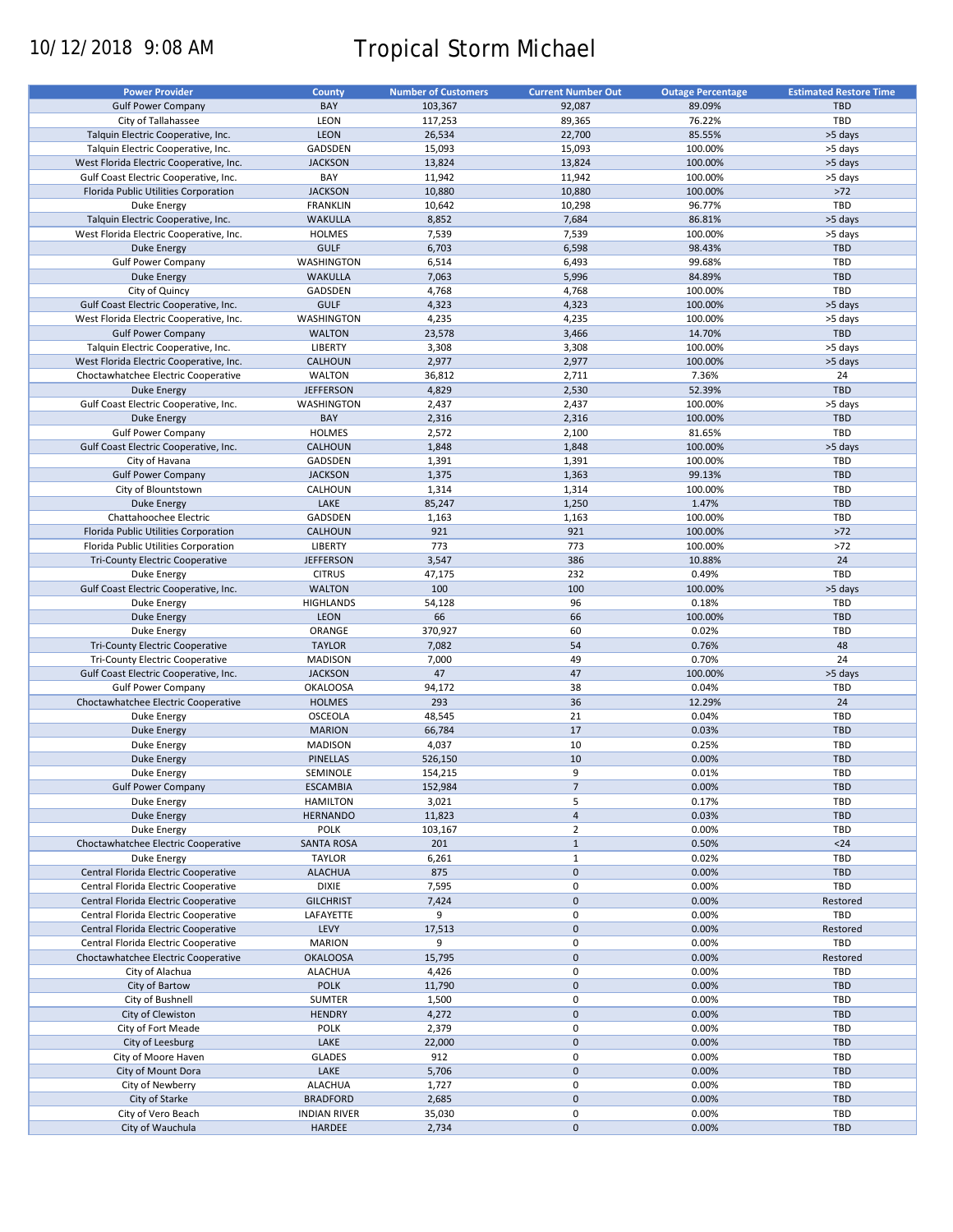# 10/12/2018 9:08 AM Tropical Storm Michael

| <b>Power Provider</b>                   | County              | <b>Number of Customers</b> | <b>Current Number Out</b> | <b>Outage Percentage</b> | <b>Estimated Restore Time</b> |
|-----------------------------------------|---------------------|----------------------------|---------------------------|--------------------------|-------------------------------|
| <b>Gulf Power Company</b>               | BAY                 | 103,367                    | 92,087                    | 89.09%                   | <b>TBD</b>                    |
|                                         |                     |                            |                           |                          | TBD                           |
| City of Tallahassee                     | LEON                | 117,253                    | 89,365                    | 76.22%                   |                               |
| Talquin Electric Cooperative, Inc.      | <b>LEON</b>         | 26,534                     | 22,700                    | 85.55%                   | >5 days                       |
| Talquin Electric Cooperative, Inc.      | GADSDEN             | 15,093                     | 15,093                    | 100.00%                  | >5 days                       |
| West Florida Electric Cooperative, Inc. | <b>JACKSON</b>      | 13,824                     | 13,824                    | 100.00%                  | >5 days                       |
| Gulf Coast Electric Cooperative, Inc.   | BAY                 | 11,942                     | 11,942                    | 100.00%                  | >5 days                       |
| Florida Public Utilities Corporation    | <b>JACKSON</b>      | 10,880                     | 10,880                    | 100.00%                  | $>72$                         |
| Duke Energy                             | <b>FRANKLIN</b>     | 10,642                     | 10,298                    | 96.77%                   | TBD                           |
| Talquin Electric Cooperative, Inc.      | <b>WAKULLA</b>      | 8,852                      | 7,684                     | 86.81%                   | >5 days                       |
|                                         |                     |                            | 7,539                     |                          |                               |
| West Florida Electric Cooperative, Inc. | <b>HOLMES</b>       | 7,539                      |                           | 100.00%                  | >5 days                       |
| Duke Energy                             | <b>GULF</b>         | 6,703                      | 6,598                     | 98.43%                   | <b>TBD</b>                    |
| <b>Gulf Power Company</b>               | WASHINGTON          | 6,514                      | 6,493                     | 99.68%                   | TBD                           |
| <b>Duke Energy</b>                      | <b>WAKULLA</b>      | 7,063                      | 5,996                     | 84.89%                   | <b>TBD</b>                    |
| City of Quincy                          | GADSDEN             | 4,768                      | 4,768                     | 100.00%                  | TBD                           |
| Gulf Coast Electric Cooperative, Inc.   | <b>GULF</b>         | 4,323                      | 4,323                     | 100.00%                  | >5 days                       |
| West Florida Electric Cooperative, Inc. | WASHINGTON          | 4,235                      | 4,235                     | 100.00%                  | >5 days                       |
| <b>Gulf Power Company</b>               | <b>WALTON</b>       | 23,578                     | 3,466                     | 14.70%                   | <b>TBD</b>                    |
| Talquin Electric Cooperative, Inc.      | <b>LIBERTY</b>      | 3,308                      | 3,308                     | 100.00%                  | >5 days                       |
|                                         |                     |                            |                           |                          |                               |
| West Florida Electric Cooperative, Inc. | <b>CALHOUN</b>      | 2,977                      | 2,977                     | 100.00%                  | >5 days                       |
| Choctawhatchee Electric Cooperative     | <b>WALTON</b>       | 36,812                     | 2,711                     | 7.36%                    | 24                            |
| <b>Duke Energy</b>                      | <b>JEFFERSON</b>    | 4,829                      | 2,530                     | 52.39%                   | TBD                           |
| Gulf Coast Electric Cooperative, Inc.   | WASHINGTON          | 2,437                      | 2,437                     | 100.00%                  | >5 days                       |
| <b>Duke Energy</b>                      | BAY                 | 2,316                      | 2,316                     | 100.00%                  | <b>TBD</b>                    |
| <b>Gulf Power Company</b>               | <b>HOLMES</b>       | 2,572                      | 2,100                     | 81.65%                   | TBD                           |
| Gulf Coast Electric Cooperative, Inc.   | CALHOUN             | 1,848                      | 1,848                     | 100.00%                  | >5 days                       |
|                                         |                     |                            |                           |                          | TBD                           |
| City of Havana                          | GADSDEN             | 1,391                      | 1,391                     | 100.00%                  |                               |
| <b>Gulf Power Company</b>               | <b>JACKSON</b>      | 1,375                      | 1,363                     | 99.13%                   | <b>TBD</b>                    |
| City of Blountstown                     | CALHOUN             | 1,314                      | 1,314                     | 100.00%                  | TBD                           |
| <b>Duke Energy</b>                      | LAKE                | 85,247                     | 1,250                     | 1.47%                    | <b>TBD</b>                    |
| Chattahoochee Electric                  | GADSDEN             | 1,163                      | 1,163                     | 100.00%                  | TBD                           |
| Florida Public Utilities Corporation    | <b>CALHOUN</b>      | 921                        | 921                       | 100.00%                  | $>72$                         |
| Florida Public Utilities Corporation    | <b>LIBERTY</b>      | 773                        | 773                       | 100.00%                  | $>72$                         |
| <b>Tri-County Electric Cooperative</b>  | <b>JEFFERSON</b>    | 3,547                      | 386                       | 10.88%                   | 24                            |
|                                         |                     |                            |                           |                          |                               |
| <b>Duke Energy</b>                      | <b>CITRUS</b>       | 47,175                     | 232                       | 0.49%                    | TBD                           |
| Gulf Coast Electric Cooperative, Inc.   | <b>WALTON</b>       | 100                        | 100                       | 100.00%                  | >5 days                       |
| Duke Energy                             | <b>HIGHLANDS</b>    | 54,128                     | 96                        | 0.18%                    | TBD                           |
| <b>Duke Energy</b>                      | LEON                | 66                         | 66                        | 100.00%                  | <b>TBD</b>                    |
| Duke Energy                             | ORANGE              | 370,927                    | 60                        | 0.02%                    | TBD                           |
| Tri-County Electric Cooperative         | <b>TAYLOR</b>       | 7,082                      | 54                        | 0.76%                    | 48                            |
| Tri-County Electric Cooperative         | <b>MADISON</b>      | 7,000                      | 49                        | 0.70%                    | 24                            |
| Gulf Coast Electric Cooperative, Inc.   | <b>JACKSON</b>      | 47                         | 47                        | 100.00%                  | >5 days                       |
|                                         |                     |                            |                           |                          | TBD                           |
| <b>Gulf Power Company</b>               | <b>OKALOOSA</b>     | 94,172                     | 38                        | 0.04%                    |                               |
| Choctawhatchee Electric Cooperative     | <b>HOLMES</b>       | 293                        | 36                        | 12.29%                   | 24                            |
| Duke Energy                             | <b>OSCEOLA</b>      | 48,545                     | 21                        | 0.04%                    | TBD                           |
| <b>Duke Energy</b>                      | <b>MARION</b>       | 66,784                     | 17                        | 0.03%                    | <b>TBD</b>                    |
| Duke Energy                             | <b>MADISON</b>      | 4,037                      | 10                        | 0.25%                    | TBD                           |
| <b>Duke Energy</b>                      | <b>PINELLAS</b>     | 526,150                    | 10                        | 0.00%                    | <b>TBD</b>                    |
| Duke Energy                             | SEMINOLE            | 154,215                    | 9                         | 0.01%                    | <b>TBD</b>                    |
| <b>Gulf Power Company</b>               | <b>ESCAMBIA</b>     | 152,984                    | $\overline{7}$            | 0.00%                    | <b>TBD</b>                    |
|                                         |                     |                            |                           |                          |                               |
| Duke Energy                             | <b>HAMILTON</b>     | 3,021                      | 5                         | 0.17%                    | TBD                           |
| <b>Duke Energy</b>                      | <b>HERNANDO</b>     | 11,823                     | $\overline{4}$            | 0.03%                    | <b>TBD</b>                    |
| Duke Energy                             | <b>POLK</b>         | 103,167                    | $\overline{2}$            | 0.00%                    | TBD                           |
| Choctawhatchee Electric Cooperative     | <b>SANTA ROSA</b>   | 201                        | $\mathbf{1}$              | 0.50%                    | $24$                          |
| Duke Energy                             | <b>TAYLOR</b>       | 6,261                      | $\mathbf{1}$              | 0.02%                    | TBD                           |
| Central Florida Electric Cooperative    | <b>ALACHUA</b>      | 875                        | $\pmb{0}$                 | 0.00%                    | <b>TBD</b>                    |
| Central Florida Electric Cooperative    | <b>DIXIE</b>        | 7,595                      | 0                         | 0.00%                    | TBD                           |
|                                         |                     |                            | $\pmb{0}$                 | 0.00%                    |                               |
| Central Florida Electric Cooperative    | <b>GILCHRIST</b>    | 7,424                      |                           |                          | Restored                      |
| Central Florida Electric Cooperative    | LAFAYETTE           | 9                          | 0                         | 0.00%                    | <b>TBD</b>                    |
| Central Florida Electric Cooperative    | LEVY                | 17,513                     | $\mathbf 0$               | 0.00%                    | Restored                      |
| Central Florida Electric Cooperative    | <b>MARION</b>       | 9                          | 0                         | 0.00%                    | TBD                           |
| Choctawhatchee Electric Cooperative     | <b>OKALOOSA</b>     | 15,795                     | $\pmb{0}$                 | 0.00%                    | Restored                      |
| City of Alachua                         | <b>ALACHUA</b>      | 4,426                      | 0                         | 0.00%                    | TBD                           |
| City of Bartow                          | <b>POLK</b>         | 11,790                     | $\mathbf 0$               | 0.00%                    | <b>TBD</b>                    |
| City of Bushnell                        | SUMTER              | 1,500                      | 0                         | 0.00%                    | TBD                           |
|                                         |                     |                            |                           |                          |                               |
| City of Clewiston                       | <b>HENDRY</b>       | 4,272                      | $\pmb{0}$                 | 0.00%                    | <b>TBD</b>                    |
| City of Fort Meade                      | POLK                | 2,379                      | 0                         | 0.00%                    | TBD                           |
| City of Leesburg                        | LAKE                | 22,000                     | $\pmb{0}$                 | 0.00%                    | <b>TBD</b>                    |
| City of Moore Haven                     | <b>GLADES</b>       | 912                        | 0                         | 0.00%                    | TBD                           |
| City of Mount Dora                      | LAKE                | 5,706                      | $\mathbf 0$               | 0.00%                    | <b>TBD</b>                    |
| City of Newberry                        | <b>ALACHUA</b>      | 1,727                      | 0                         | 0.00%                    | TBD                           |
| City of Starke                          | <b>BRADFORD</b>     | 2,685                      | $\mathbf 0$               | 0.00%                    | <b>TBD</b>                    |
|                                         |                     |                            |                           |                          |                               |
| City of Vero Beach                      | <b>INDIAN RIVER</b> | 35,030                     | $\pmb{0}$                 | 0.00%                    | TBD                           |
| City of Wauchula                        | HARDEE              | 2,734                      | $\pmb{0}$                 | 0.00%                    | TBD                           |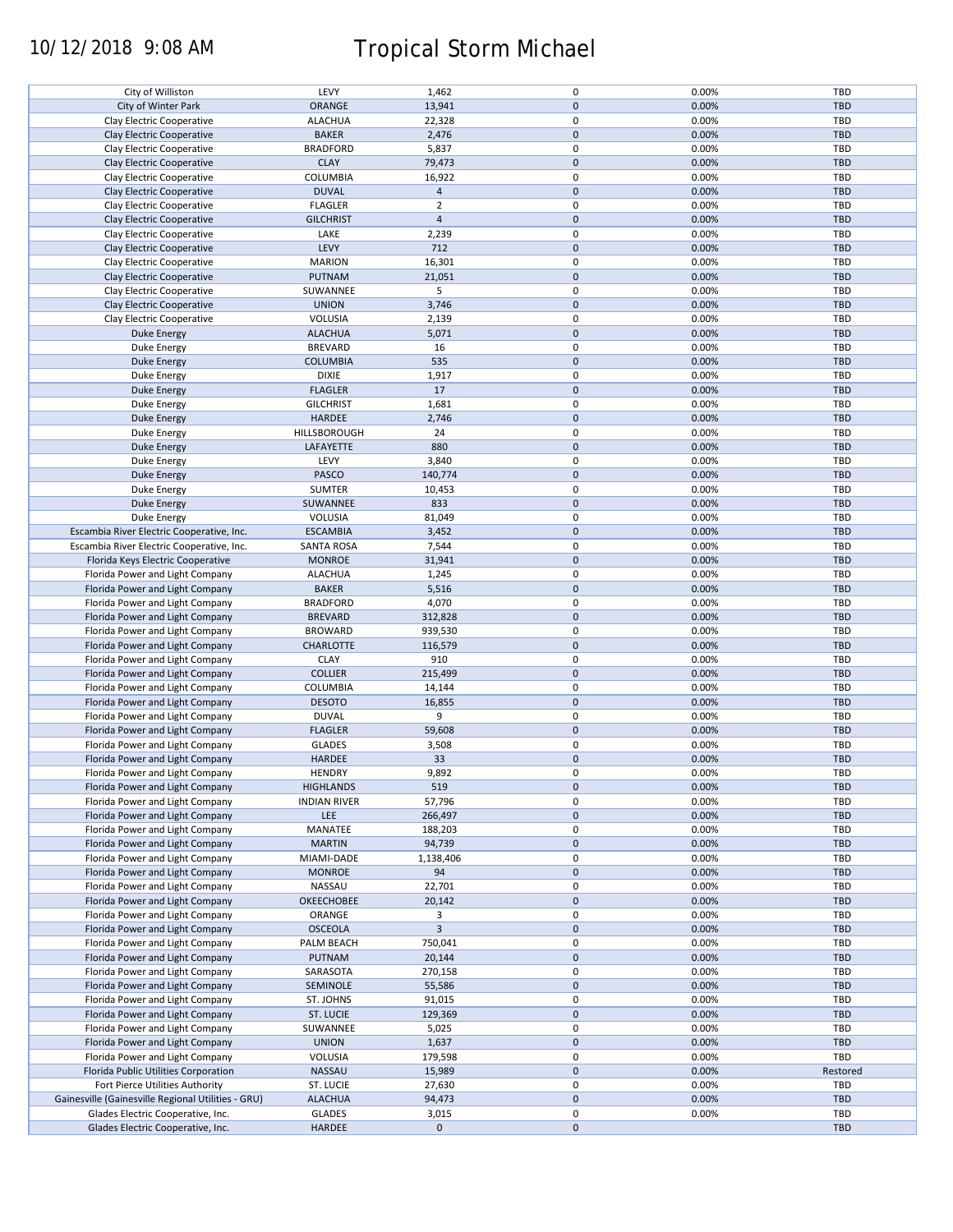# 10/12/2018 9:08 AM Tropical Storm Michael

| City of Williston                                  | LEVY                | 1,462          | $\mathbf 0$ | 0.00% | <b>TBD</b> |
|----------------------------------------------------|---------------------|----------------|-------------|-------|------------|
| City of Winter Park                                | ORANGE              | 13,941         | $\mathbf 0$ | 0.00% | <b>TBD</b> |
| Clay Electric Cooperative                          | <b>ALACHUA</b>      | 22,328         | 0           | 0.00% | <b>TBD</b> |
|                                                    |                     |                |             |       |            |
| Clay Electric Cooperative                          | <b>BAKER</b>        | 2,476          | $\mathbf 0$ | 0.00% | <b>TBD</b> |
| Clay Electric Cooperative                          | <b>BRADFORD</b>     | 5,837          | 0           | 0.00% | TBD        |
| Clay Electric Cooperative                          | <b>CLAY</b>         | 79,473         | $\mathbf 0$ | 0.00% | <b>TBD</b> |
|                                                    |                     |                |             |       |            |
| Clay Electric Cooperative                          | COLUMBIA            | 16,922         | 0           | 0.00% | TBD        |
| Clay Electric Cooperative                          | <b>DUVAL</b>        | $\overline{4}$ | $\mathbf 0$ | 0.00% | <b>TBD</b> |
| Clay Electric Cooperative                          | <b>FLAGLER</b>      | $\overline{2}$ | 0           | 0.00% | TBD        |
|                                                    |                     |                |             |       |            |
| Clay Electric Cooperative                          | <b>GILCHRIST</b>    | $\overline{4}$ | $\mathbf 0$ | 0.00% | <b>TBD</b> |
| Clay Electric Cooperative                          | LAKE                | 2,239          | 0           | 0.00% | TBD        |
| Clay Electric Cooperative                          | LEVY                | 712            | $\mathbf 0$ | 0.00% | <b>TBD</b> |
|                                                    |                     |                |             |       |            |
| Clay Electric Cooperative                          | <b>MARION</b>       | 16,301         | 0           | 0.00% | TBD        |
| Clay Electric Cooperative                          | PUTNAM              | 21,051         | $\mathbf 0$ | 0.00% | <b>TBD</b> |
|                                                    |                     | 5              | $\mathbf 0$ | 0.00% | <b>TBD</b> |
| Clay Electric Cooperative                          | SUWANNEE            |                |             |       |            |
| Clay Electric Cooperative                          | <b>UNION</b>        | 3,746          | $\mathbf 0$ | 0.00% | <b>TBD</b> |
| Clay Electric Cooperative                          | VOLUSIA             | 2,139          | $\mathbf 0$ | 0.00% | TBD        |
|                                                    |                     |                | $\mathbf 0$ |       |            |
| <b>Duke Energy</b>                                 | <b>ALACHUA</b>      | 5,071          |             | 0.00% | <b>TBD</b> |
| Duke Energy                                        | <b>BREVARD</b>      | 16             | $\pmb{0}$   | 0.00% | <b>TBD</b> |
| <b>Duke Energy</b>                                 | <b>COLUMBIA</b>     | 535            | $\mathbf 0$ | 0.00% | <b>TBD</b> |
|                                                    |                     |                |             |       |            |
| Duke Energy                                        | <b>DIXIE</b>        | 1,917          | 0           | 0.00% | TBD        |
| <b>Duke Energy</b>                                 | <b>FLAGLER</b>      | 17             | $\mathbf 0$ | 0.00% | <b>TBD</b> |
| Duke Energy                                        | <b>GILCHRIST</b>    | 1,681          | 0           | 0.00% | TBD        |
|                                                    |                     |                |             |       |            |
| <b>Duke Energy</b>                                 | HARDEE              | 2,746          | $\mathbf 0$ | 0.00% | TBD        |
| Duke Energy                                        | HILLSBOROUGH        | 24             | $\mathbf 0$ | 0.00% | <b>TBD</b> |
|                                                    | LAFAYETTE           | 880            | $\pmb{0}$   | 0.00% | TBD        |
| Duke Energy                                        |                     |                |             |       |            |
| Duke Energy                                        | LEVY                | 3,840          | 0           | 0.00% | <b>TBD</b> |
| Duke Energy                                        | PASCO               | 140,774        | $\pmb{0}$   | 0.00% | <b>TBD</b> |
|                                                    |                     |                |             |       |            |
| Duke Energy                                        | <b>SUMTER</b>       | 10,453         | 0           | 0.00% | <b>TBD</b> |
| <b>Duke Energy</b>                                 | SUWANNEE            | 833            | $\pmb{0}$   | 0.00% | <b>TBD</b> |
| Duke Energy                                        | VOLUSIA             | 81,049         | $\mathbf 0$ | 0.00% | TBD        |
|                                                    |                     |                |             |       |            |
| Escambia River Electric Cooperative, Inc.          | <b>ESCAMBIA</b>     | 3,452          | $\pmb{0}$   | 0.00% | <b>TBD</b> |
| Escambia River Electric Cooperative, Inc.          | <b>SANTA ROSA</b>   | 7,544          | 0           | 0.00% | TBD        |
| Florida Keys Electric Cooperative                  | <b>MONROE</b>       | 31,941         | $\mathbf 0$ | 0.00% | <b>TBD</b> |
|                                                    |                     |                |             |       |            |
| Florida Power and Light Company                    | <b>ALACHUA</b>      | 1,245          | $\pmb{0}$   | 0.00% | TBD        |
| Florida Power and Light Company                    | <b>BAKER</b>        | 5,516          | $\pmb{0}$   | 0.00% | <b>TBD</b> |
|                                                    |                     |                | $\pmb{0}$   |       |            |
| Florida Power and Light Company                    | <b>BRADFORD</b>     | 4,070          |             | 0.00% | TBD        |
| Florida Power and Light Company                    | <b>BREVARD</b>      | 312,828        | $\pmb{0}$   | 0.00% | <b>TBD</b> |
| Florida Power and Light Company                    | <b>BROWARD</b>      | 939,530        | $\pmb{0}$   | 0.00% | TBD        |
|                                                    |                     |                |             |       |            |
| Florida Power and Light Company                    | <b>CHARLOTTE</b>    | 116,579        | $\pmb{0}$   | 0.00% | <b>TBD</b> |
| Florida Power and Light Company                    | <b>CLAY</b>         | 910            | $\pmb{0}$   | 0.00% | TBD        |
| Florida Power and Light Company                    | <b>COLLIER</b>      | 215,499        | $\mathbf 0$ | 0.00% | TBD        |
|                                                    |                     |                |             |       |            |
| Florida Power and Light Company                    | COLUMBIA            | 14,144         | $\pmb{0}$   | 0.00% | TBD        |
| Florida Power and Light Company                    | <b>DESOTO</b>       | 16,855         | $\mathbf 0$ | 0.00% | <b>TBD</b> |
| Florida Power and Light Company                    | <b>DUVAL</b>        | 9              | $\pmb{0}$   | 0.00% | TBD        |
|                                                    |                     |                |             |       |            |
| Florida Power and Light Company                    | <b>FLAGLER</b>      | 59,608         | $\mathbf 0$ | 0.00% | <b>TBD</b> |
| Florida Power and Light Company                    | <b>GLADES</b>       | 3,508          | 0           | 0.00% | TBD        |
| Florida Power and Light Company                    | <b>HARDEE</b>       | 33             | $\mathbf 0$ | 0.00% | <b>TBD</b> |
|                                                    |                     |                |             |       |            |
| Florida Power and Light Company                    | <b>HENDRY</b>       | 9,892          | $\mathbf 0$ | 0.00% | TBD        |
| Florida Power and Light Company                    | <b>HIGHLANDS</b>    | 519            | $\pmb{0}$   | 0.00% | <b>TBD</b> |
|                                                    |                     |                |             |       |            |
| Florida Power and Light Company                    | <b>INDIAN RIVER</b> | 57,796         | 0           | 0.00% | TBD        |
| Florida Power and Light Company                    | LEE                 | 266,497        | $\mathbf 0$ | 0.00% | <b>TBD</b> |
| Florida Power and Light Company                    | MANATEE             | 188,203        | 0           | 0.00% | TBD        |
|                                                    |                     |                |             |       |            |
| Florida Power and Light Company                    | <b>MARTIN</b>       | 94,739         | $\mathbf 0$ | 0.00% | TBD        |
| Florida Power and Light Company                    | MIAMI-DADE          | 1,138,406      | 0           | 0.00% | TBD        |
| Florida Power and Light Company                    | <b>MONROE</b>       | 94             | $\mathbf 0$ | 0.00% | <b>TBD</b> |
|                                                    |                     |                |             |       |            |
| Florida Power and Light Company                    | NASSAU              | 22,701         | 0           | 0.00% | TBD        |
| Florida Power and Light Company                    | <b>OKEECHOBEE</b>   | 20,142         | $\mathbf 0$ | 0.00% | <b>TBD</b> |
|                                                    | ORANGE              | 3              | 0           | 0.00% | TBD        |
| Florida Power and Light Company                    |                     |                |             |       |            |
| Florida Power and Light Company                    | <b>OSCEOLA</b>      | $\overline{3}$ | $\pmb{0}$   | 0.00% | <b>TBD</b> |
| Florida Power and Light Company                    | PALM BEACH          | 750,041        | 0           | 0.00% | TBD        |
|                                                    |                     |                |             |       |            |
| Florida Power and Light Company                    | PUTNAM              | 20,144         | $\pmb{0}$   | 0.00% | <b>TBD</b> |
| Florida Power and Light Company                    | SARASOTA            | 270,158        | 0           | 0.00% | TBD        |
| Florida Power and Light Company                    | SEMINOLE            | 55,586         | $\mathbf 0$ | 0.00% | <b>TBD</b> |
|                                                    |                     |                |             |       |            |
| Florida Power and Light Company                    | ST. JOHNS           | 91,015         | 0           | 0.00% | TBD        |
| Florida Power and Light Company                    | ST. LUCIE           | 129,369        | $\mathbf 0$ | 0.00% | <b>TBD</b> |
| Florida Power and Light Company                    | SUWANNEE            | 5,025          | $\pmb{0}$   | 0.00% | TBD        |
|                                                    |                     |                |             |       |            |
| Florida Power and Light Company                    | <b>UNION</b>        | 1,637          | $\pmb{0}$   | 0.00% | TBD        |
| Florida Power and Light Company                    | VOLUSIA             | 179,598        | $\mathbf 0$ | 0.00% | <b>TBD</b> |
|                                                    |                     |                |             |       |            |
| Florida Public Utilities Corporation               | NASSAU              | 15,989         | $\mathbf 0$ | 0.00% | Restored   |
| Fort Pierce Utilities Authority                    | ST. LUCIE           | 27,630         | 0           | 0.00% | TBD        |
| Gainesville (Gainesville Regional Utilities - GRU) | <b>ALACHUA</b>      | 94,473         | $\mathbf 0$ | 0.00% | TBD        |
|                                                    |                     |                |             |       |            |
| Glades Electric Cooperative, Inc.                  | <b>GLADES</b>       | 3,015          | 0           | 0.00% | <b>TBD</b> |
| Glades Electric Cooperative, Inc.                  | HARDEE              | $\mathbf 0$    | $\pmb{0}$   |       | TBD        |
|                                                    |                     |                |             |       |            |